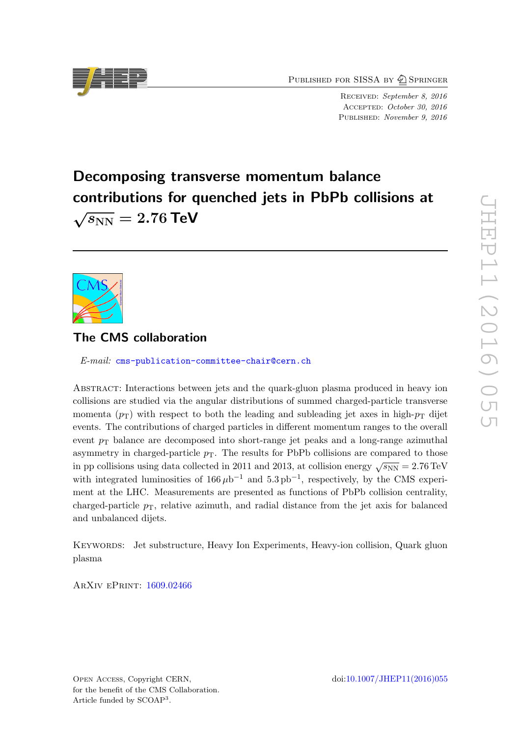PUBLISHED FOR SISSA BY 2 SPRINGER

Received: September 8, 2016 Accepted: October 30, 2016 PUBLISHED: November 9, 2016

# Decomposing transverse momentum balance contributions for quenched jets in PbPb collisions at  $\sqrt{s_\mathrm{NN}}=2.76$  TeV



# The CMS collaboration

E-mail: [cms-publication-committee-chair@cern.ch](mailto:cms-publication-committee-chair@cern.ch)

Abstract: Interactions between jets and the quark-gluon plasma produced in heavy ion collisions are studied via the angular distributions of summed charged-particle transverse momenta  $(p_T)$  with respect to both the leading and subleading jet axes in high- $p_T$  dijet events. The contributions of charged particles in different momentum ranges to the overall event  $p_T$  balance are decomposed into short-range jet peaks and a long-range azimuthal asymmetry in charged-particle  $p<sub>T</sub>$ . The results for PbPb collisions are compared to those in pp collisions using data collected in 2011 and 2013, at collision energy  $\sqrt{s_{NN}} = 2.76 \text{ TeV}$ with integrated luminosities of  $166 \,\mu b^{-1}$  and  $5.3 \text{ pb}^{-1}$ , respectively, by the CMS experiment at the LHC. Measurements are presented as functions of PbPb collision centrality, charged-particle  $p<sub>T</sub>$ , relative azimuth, and radial distance from the jet axis for balanced and unbalanced dijets.

Keywords: Jet substructure, Heavy Ion Experiments, Heavy-ion collision, Quark gluon plasma

ArXiv ePrint: [1609.02466](https://arxiv.org/abs/1609.02466)

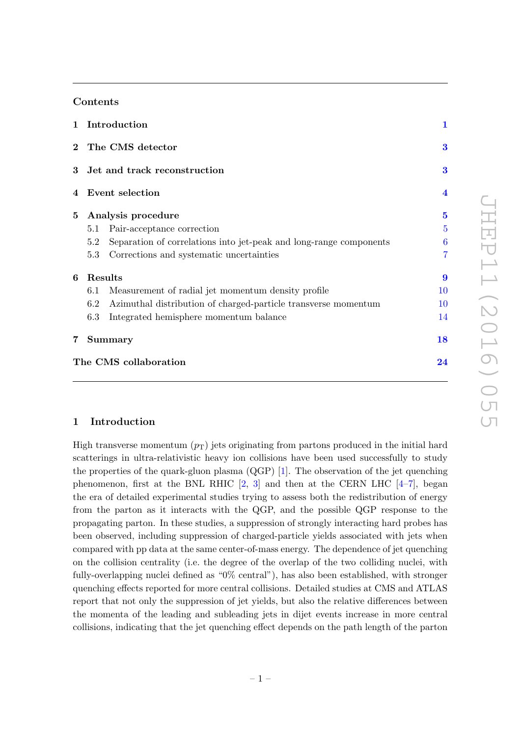# Contents

|   |         | 1 Introduction                                                     | $\mathbf{1}$                                                     |  |
|---|---------|--------------------------------------------------------------------|------------------------------------------------------------------|--|
|   |         | 2 The CMS detector                                                 | 3                                                                |  |
|   |         | 3 Jet and track reconstruction                                     | 3<br>$\overline{\mathbf{4}}$<br>$\overline{5}$<br>$\overline{5}$ |  |
|   |         | 4 Event selection                                                  |                                                                  |  |
| 5 |         | Analysis procedure                                                 |                                                                  |  |
|   | 5.1     | Pair-acceptance correction                                         |                                                                  |  |
|   | 5.2     | Separation of correlations into jet-peak and long-range components | $\boldsymbol{6}$                                                 |  |
|   | 5.3     | Corrections and systematic uncertainties                           | 7                                                                |  |
| 6 | Results |                                                                    |                                                                  |  |
|   | 6.1     | Measurement of radial jet momentum density profile                 | 10                                                               |  |
|   | 6.2     | Azimuthal distribution of charged-particle transverse momentum     | 10                                                               |  |
|   | 6.3     | Integrated hemisphere momentum balance                             | 14                                                               |  |
| 7 | Summary |                                                                    |                                                                  |  |
|   |         | The CMS collaboration                                              | 24                                                               |  |
|   |         |                                                                    |                                                                  |  |

# <span id="page-1-0"></span>1 Introduction

High transverse momentum  $(p_T)$  jets originating from partons produced in the initial hard scatterings in ultra-relativistic heavy ion collisions have been used successfully to study the properties of the quark-gluon plasma (QGP) [\[1\]](#page-22-0). The observation of the jet quenching phenomenon, first at the BNL RHIC  $[2, 3]$  $[2, 3]$  $[2, 3]$  and then at the CERN LHC  $[4-7]$  $[4-7]$ , began the era of detailed experimental studies trying to assess both the redistribution of energy from the parton as it interacts with the QGP, and the possible QGP response to the propagating parton. In these studies, a suppression of strongly interacting hard probes has been observed, including suppression of charged-particle yields associated with jets when compared with pp data at the same center-of-mass energy. The dependence of jet quenching on the collision centrality (i.e. the degree of the overlap of the two colliding nuclei, with fully-overlapping nuclei defined as "0% central"), has also been established, with stronger quenching effects reported for more central collisions. Detailed studies at CMS and ATLAS report that not only the suppression of jet yields, but also the relative differences between the momenta of the leading and subleading jets in dijet events increase in more central collisions, indicating that the jet quenching effect depends on the path length of the parton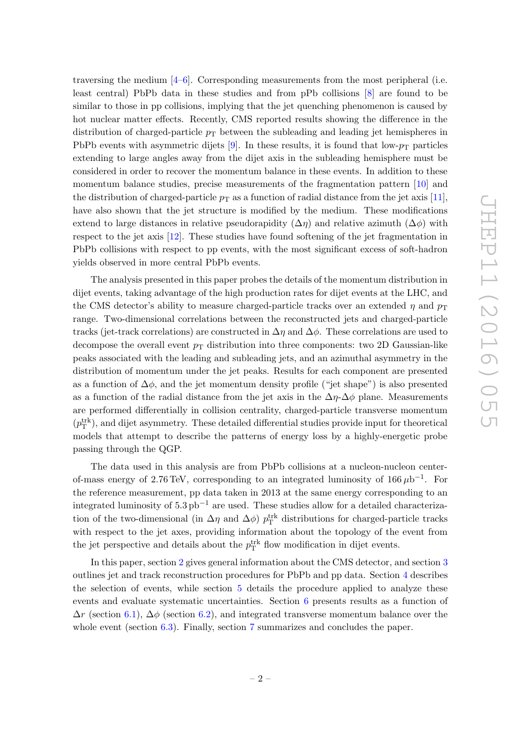traversing the medium  $[4-6]$  $[4-6]$ . Corresponding measurements from the most peripheral (i.e. least central) PbPb data in these studies and from pPb collisions [\[8\]](#page-22-6) are found to be similar to those in pp collisions, implying that the jet quenching phenomenon is caused by hot nuclear matter effects. Recently, CMS reported results showing the difference in the distribution of charged-particle  $p<sub>T</sub>$  between the subleading and leading jet hemispheres in PbPb events with asymmetric dijets  $[9]$ . In these results, it is found that low- $p_T$  particles extending to large angles away from the dijet axis in the subleading hemisphere must be considered in order to recover the momentum balance in these events. In addition to these momentum balance studies, precise measurements of the fragmentation pattern [\[10\]](#page-22-8) and the distribution of charged-particle  $p<sub>T</sub>$  as a function of radial distance from the jet axis [\[11\]](#page-22-9), have also shown that the jet structure is modified by the medium. These modifications extend to large distances in relative pseudorapidity  $(\Delta \eta)$  and relative azimuth  $(\Delta \phi)$  with respect to the jet axis [\[12\]](#page-22-10). These studies have found softening of the jet fragmentation in PbPb collisions with respect to pp events, with the most significant excess of soft-hadron yields observed in more central PbPb events.

The analysis presented in this paper probes the details of the momentum distribution in dijet events, taking advantage of the high production rates for dijet events at the LHC, and the CMS detector's ability to measure charged-particle tracks over an extended  $\eta$  and  $p_T$ range. Two-dimensional correlations between the reconstructed jets and charged-particle tracks (jet-track correlations) are constructed in  $\Delta \eta$  and  $\Delta \phi$ . These correlations are used to decompose the overall event  $p<sub>T</sub>$  distribution into three components: two 2D Gaussian-like peaks associated with the leading and subleading jets, and an azimuthal asymmetry in the distribution of momentum under the jet peaks. Results for each component are presented as a function of  $\Delta\phi$ , and the jet momentum density profile ("jet shape") is also presented as a function of the radial distance from the jet axis in the  $\Delta \eta$ - $\Delta \phi$  plane. Measurements are performed differentially in collision centrality, charged-particle transverse momentum  $(p_T^{\text{trk}})$ , and dijet asymmetry. These detailed differential studies provide input for theoretical models that attempt to describe the patterns of energy loss by a highly-energetic probe passing through the QGP.

The data used in this analysis are from PbPb collisions at a nucleon-nucleon centerof-mass energy of 2.76 TeV, corresponding to an integrated luminosity of  $166 \,\mu b^{-1}$ . For the reference measurement, pp data taken in 2013 at the same energy corresponding to an integrated luminosity of  $5.3 \text{ pb}^{-1}$  are used. These studies allow for a detailed characterization of the two-dimensional (in  $\Delta \eta$  and  $\Delta \phi$ )  $p_T^{\text{trk}}$  distributions for charged-particle tracks with respect to the jet axes, providing information about the topology of the event from the jet perspective and details about the  $p_T^{\text{trk}}$  flow modification in dijet events.

In this paper, section [2](#page-3-0) gives general information about the CMS detector, and section [3](#page-3-1) outlines jet and track reconstruction procedures for PbPb and pp data. Section [4](#page-4-0) describes the selection of events, while section [5](#page-5-0) details the procedure applied to analyze these events and evaluate systematic uncertainties. Section [6](#page-9-0) presents results as a function of  $\Delta r$  (section [6.1\)](#page-10-0),  $\Delta \phi$  (section [6.2\)](#page-10-1), and integrated transverse momentum balance over the whole event (section [6.3\)](#page-14-0). Finally, section [7](#page-18-0) summarizes and concludes the paper.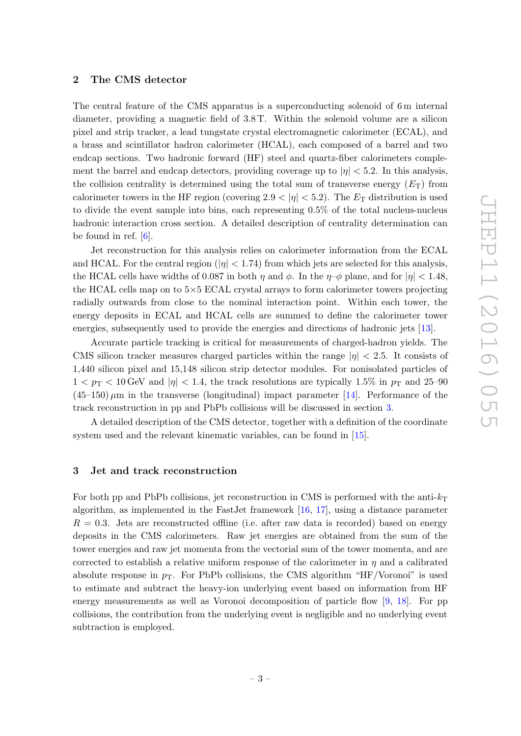#### <span id="page-3-0"></span>2 The CMS detector

The central feature of the CMS apparatus is a superconducting solenoid of 6 m internal diameter, providing a magnetic field of 3.8 T. Within the solenoid volume are a silicon pixel and strip tracker, a lead tungstate crystal electromagnetic calorimeter (ECAL), and a brass and scintillator hadron calorimeter (HCAL), each composed of a barrel and two endcap sections. Two hadronic forward (HF) steel and quartz-fiber calorimeters complement the barrel and endcap detectors, providing coverage up to  $|\eta| < 5.2$ . In this analysis, the collision centrality is determined using the total sum of transverse energy  $(E_T)$  from calorimeter towers in the HF region (covering  $2.9 < |\eta| < 5.2$ ). The  $E_T$  distribution is used to divide the event sample into bins, each representing 0.5% of the total nucleus-nucleus hadronic interaction cross section. A detailed description of centrality determination can be found in ref.  $[6]$ .

Jet reconstruction for this analysis relies on calorimeter information from the ECAL and HCAL. For the central region ( $|\eta|$  < 1.74) from which jets are selected for this analysis, the HCAL cells have widths of 0.087 in both  $\eta$  and  $\phi$ . In the  $\eta$ - $\phi$  plane, and for  $|\eta|$  < 1.48, the HCAL cells map on to  $5\times5$  ECAL crystal arrays to form calorimeter towers projecting radially outwards from close to the nominal interaction point. Within each tower, the energy deposits in ECAL and HCAL cells are summed to define the calorimeter tower energies, subsequently used to provide the energies and directions of hadronic jets [\[13\]](#page-22-11).

Accurate particle tracking is critical for measurements of charged-hadron yields. The CMS silicon tracker measures charged particles within the range  $|\eta| < 2.5$ . It consists of 1,440 silicon pixel and 15,148 silicon strip detector modules. For nonisolated particles of  $1 < p_{\rm T} < 10$  GeV and  $|\eta| < 1.4$ , the track resolutions are typically 1.5% in  $p_{\rm T}$  and 25–90  $(45-150) \mu m$  in the transverse (longitudinal) impact parameter [\[14\]](#page-23-0). Performance of the track reconstruction in pp and PbPb collisions will be discussed in section [3.](#page-3-1)

A detailed description of the CMS detector, together with a definition of the coordinate system used and the relevant kinematic variables, can be found in [\[15\]](#page-23-1).

#### <span id="page-3-1"></span>3 Jet and track reconstruction

For both pp and PbPb collisions, jet reconstruction in CMS is performed with the anti- $k_T$ algorithm, as implemented in the FastJet framework [\[16,](#page-23-2) [17\]](#page-23-3), using a distance parameter  $R = 0.3$ . Jets are reconstructed offline (i.e. after raw data is recorded) based on energy deposits in the CMS calorimeters. Raw jet energies are obtained from the sum of the tower energies and raw jet momenta from the vectorial sum of the tower momenta, and are corrected to establish a relative uniform response of the calorimeter in  $\eta$  and a calibrated absolute response in  $p_T$ . For PbPb collisions, the CMS algorithm "HF/Voronoi" is used to estimate and subtract the heavy-ion underlying event based on information from HF energy measurements as well as Voronoi decomposition of particle flow  $[9, 18]$  $[9, 18]$  $[9, 18]$ . For pp collisions, the contribution from the underlying event is negligible and no underlying event subtraction is employed.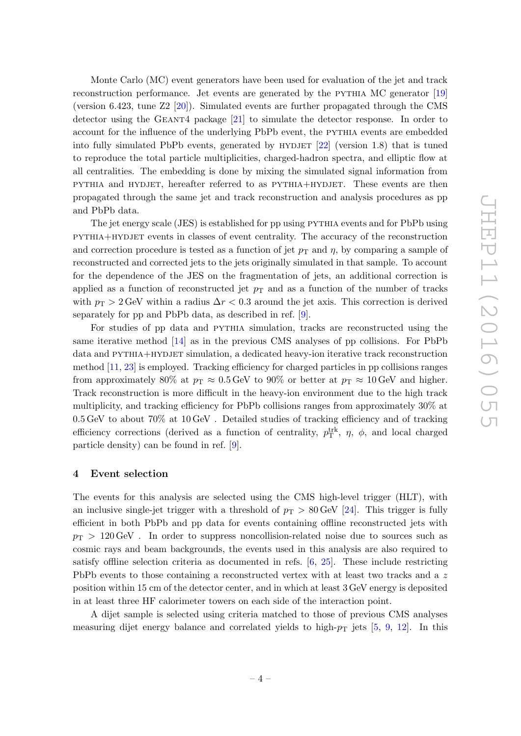Monte Carlo (MC) event generators have been used for evaluation of the jet and track reconstruction performance. Jet events are generated by the PYTHIA MC generator [\[19\]](#page-23-5) (version 6.423, tune Z2 [\[20\]](#page-23-6)). Simulated events are further propagated through the CMS detector using the GEANT4 package  $[21]$  to simulate the detector response. In order to account for the influence of the underlying PbPb event, the pythia events are embedded into fully simulated PbPb events, generated by HYDJET  $[22]$  (version 1.8) that is tuned to reproduce the total particle multiplicities, charged-hadron spectra, and elliptic flow at all centralities. The embedding is done by mixing the simulated signal information from pythia and hydjet, hereafter referred to as pythia+hydjet. These events are then propagated through the same jet and track reconstruction and analysis procedures as pp and PbPb data.

The jet energy scale (JES) is established for pp using PYTHIA events and for PbPb using pythia+hydjet events in classes of event centrality. The accuracy of the reconstruction and correction procedure is tested as a function of jet  $p<sub>T</sub>$  and  $\eta$ , by comparing a sample of reconstructed and corrected jets to the jets originally simulated in that sample. To account for the dependence of the JES on the fragmentation of jets, an additional correction is applied as a function of reconstructed jet  $p<sub>T</sub>$  and as a function of the number of tracks with  $p_T > 2$  GeV within a radius  $\Delta r < 0.3$  around the jet axis. This correction is derived separately for pp and PbPb data, as described in ref. [\[9\]](#page-22-7).

For studies of pp data and PYTHIA simulation, tracks are reconstructed using the same iterative method [\[14\]](#page-23-0) as in the previous CMS analyses of pp collisions. For PbPb data and PYTHIA+HYDJET simulation, a dedicated heavy-ion iterative track reconstruction method [\[11,](#page-22-9) [23\]](#page-23-9) is employed. Tracking efficiency for charged particles in pp collisions ranges from approximately 80% at  $p_T \approx 0.5 \,\text{GeV}$  to 90% or better at  $p_T \approx 10 \,\text{GeV}$  and higher. Track reconstruction is more difficult in the heavy-ion environment due to the high track multiplicity, and tracking efficiency for PbPb collisions ranges from approximately 30% at 0.5 GeV to about 70% at 10 GeV . Detailed studies of tracking efficiency and of tracking efficiency corrections (derived as a function of centrality,  $p_T^{\text{trk}}$ ,  $\eta$ ,  $\phi$ , and local charged particle density) can be found in ref. [\[9\]](#page-22-7).

# <span id="page-4-0"></span>4 Event selection

The events for this analysis are selected using the CMS high-level trigger (HLT), with an inclusive single-jet trigger with a threshold of  $p_T > 80$  GeV [\[24\]](#page-23-10). This trigger is fully efficient in both PbPb and pp data for events containing offline reconstructed jets with  $p_{\rm T} > 120 \,\text{GeV}$ . In order to suppress noncollision-related noise due to sources such as cosmic rays and beam backgrounds, the events used in this analysis are also required to satisfy offline selection criteria as documented in refs. [\[6,](#page-22-5) [25\]](#page-23-11). These include restricting PbPb events to those containing a reconstructed vertex with at least two tracks and a z position within 15 cm of the detector center, and in which at least 3 GeV energy is deposited in at least three HF calorimeter towers on each side of the interaction point.

A dijet sample is selected using criteria matched to those of previous CMS analyses measuring dijet energy balance and correlated yields to high- $p_T$  jets [\[5,](#page-22-12) [9,](#page-22-7) [12\]](#page-22-10). In this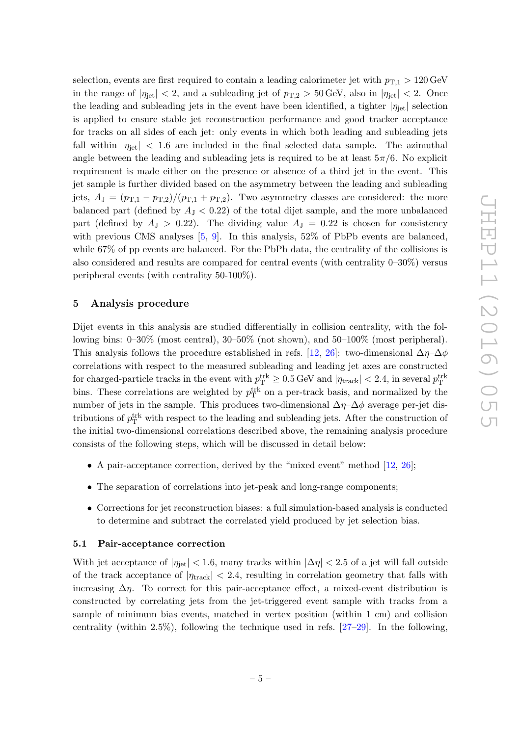selection, events are first required to contain a leading calorimeter jet with  $p_{T,1} > 120 \,\text{GeV}$ in the range of  $|\eta_{\text{jet}}| < 2$ , and a subleading jet of  $p_{T,2} > 50 \,\text{GeV}$ , also in  $|\eta_{\text{jet}}| < 2$ . Once the leading and subleading jets in the event have been identified, a tighter  $|\eta_{jet}|$  selection is applied to ensure stable jet reconstruction performance and good tracker acceptance for tracks on all sides of each jet: only events in which both leading and subleading jets fall within  $|\eta_{jet}| < 1.6$  are included in the final selected data sample. The azimuthal angle between the leading and subleading jets is required to be at least  $5\pi/6$ . No explicit requirement is made either on the presence or absence of a third jet in the event. This jet sample is further divided based on the asymmetry between the leading and subleading jets,  $A_J = (p_{T,1} - p_{T,2})/(p_{T,1} + p_{T,2})$ . Two asymmetry classes are considered: the more balanced part (defined by  $A_J < 0.22$ ) of the total dijet sample, and the more unbalanced part (defined by  $A_J > 0.22$ ). The dividing value  $A_J = 0.22$  is chosen for consistency with previous CMS analyses [\[5,](#page-22-12) [9\]](#page-22-7). In this analysis, 52\% of PbPb events are balanced, while 67% of pp events are balanced. For the PbPb data, the centrality of the collisions is also considered and results are compared for central events (with centrality 0–30%) versus peripheral events (with centrality 50-100%).

### <span id="page-5-0"></span>5 Analysis procedure

Dijet events in this analysis are studied differentially in collision centrality, with the following bins: 0–30% (most central), 30–50% (not shown), and 50–100% (most peripheral). This analysis follows the procedure established in refs. [\[12,](#page-22-10) [26\]](#page-23-12): two-dimensional  $\Delta \eta$ – $\Delta \phi$ correlations with respect to the measured subleading and leading jet axes are constructed for charged-particle tracks in the event with  $p_T^{\text{trk}} \geq 0.5 \,\text{GeV}$  and  $|\eta_{\text{track}}| < 2.4$ , in several  $p_T^{\text{trk}}$ bins. These correlations are weighted by  $p_T^{\text{trk}}$  on a per-track basis, and normalized by the number of jets in the sample. This produces two-dimensional  $\Delta \eta$ – $\Delta \phi$  average per-jet distributions of  $p_T^{\text{trk}}$  with respect to the leading and subleading jets. After the construction of the initial two-dimensional correlations described above, the remaining analysis procedure consists of the following steps, which will be discussed in detail below:

- A pair-acceptance correction, derived by the "mixed event" method [\[12,](#page-22-10) [26\]](#page-23-12);
- The separation of correlations into jet-peak and long-range components;
- Corrections for jet reconstruction biases: a full simulation-based analysis is conducted to determine and subtract the correlated yield produced by jet selection bias.

#### <span id="page-5-1"></span>5.1 Pair-acceptance correction

With jet acceptance of  $|\eta_{jet}| < 1.6$ , many tracks within  $|\Delta \eta| < 2.5$  of a jet will fall outside of the track acceptance of  $|\eta_{\text{track}}| < 2.4$ , resulting in correlation geometry that falls with increasing  $\Delta \eta$ . To correct for this pair-acceptance effect, a mixed-event distribution is constructed by correlating jets from the jet-triggered event sample with tracks from a sample of minimum bias events, matched in vertex position (within 1 cm) and collision centrality (within 2.5%), following the technique used in refs. [\[27](#page-23-13)[–29\]](#page-23-14). In the following,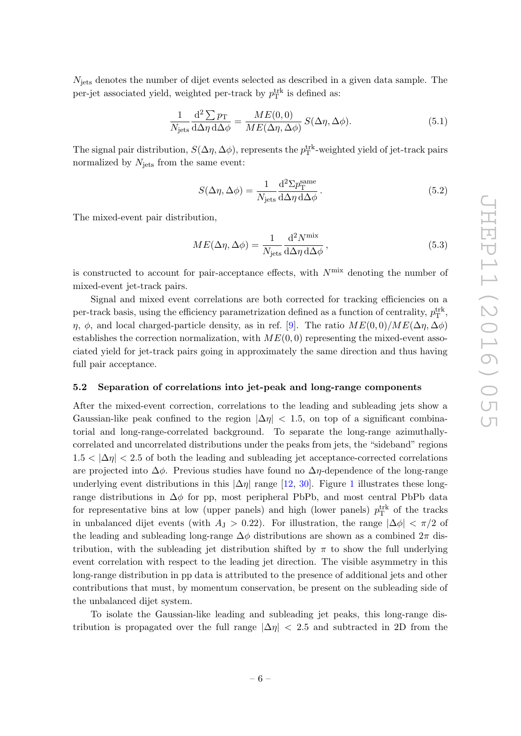Njets denotes the number of dijet events selected as described in a given data sample. The per-jet associated yield, weighted per-track by  $p_T^{\text{trk}}$  is defined as:

$$
\frac{1}{N_{\text{jets}}} \frac{\mathrm{d}^2 \sum p_{\text{T}}}{\mathrm{d}\Delta \eta \, \mathrm{d}\Delta \phi} = \frac{ME(0,0)}{ME(\Delta \eta, \Delta \phi)} S(\Delta \eta, \Delta \phi). \tag{5.1}
$$

The signal pair distribution,  $S(\Delta \eta, \Delta \phi)$ , represents the  $p_T^{\text{trk}}$ -weighted yield of jet-track pairs normalized by  $N_{\text{jets}}$  from the same event:

$$
S(\Delta \eta, \Delta \phi) = \frac{1}{N_{\text{jets}}} \frac{\mathrm{d}^2 \Sigma p_{\text{T}}^{\text{same}}}{\mathrm{d} \Delta \eta \, \mathrm{d} \Delta \phi} \,. \tag{5.2}
$$

The mixed-event pair distribution,

$$
ME(\Delta \eta, \Delta \phi) = \frac{1}{N_{\text{jets}}} \frac{\mathrm{d}^2 N^{\text{mix}}}{\mathrm{d} \Delta \eta \, \mathrm{d} \Delta \phi},\tag{5.3}
$$

is constructed to account for pair-acceptance effects, with  $N<sup>mix</sup>$  denoting the number of mixed-event jet-track pairs.

Signal and mixed event correlations are both corrected for tracking efficiencies on a per-track basis, using the efficiency parametrization defined as a function of centrality,  $p_T^{\text{trk}}$ ,  $\eta$ ,  $\phi$ , and local charged-particle density, as in ref. [\[9\]](#page-22-7). The ratio  $ME(0, 0)/ME(\Delta \eta, \Delta \phi)$ establishes the correction normalization, with  $ME(0, 0)$  representing the mixed-event associated yield for jet-track pairs going in approximately the same direction and thus having full pair acceptance.

### <span id="page-6-0"></span>5.2 Separation of correlations into jet-peak and long-range components

After the mixed-event correction, correlations to the leading and subleading jets show a Gaussian-like peak confined to the region  $|\Delta \eta| < 1.5$ , on top of a significant combinatorial and long-range-correlated background. To separate the long-range azimuthallycorrelated and uncorrelated distributions under the peaks from jets, the "sideband" regions  $1.5 < |\Delta \eta| < 2.5$  of both the leading and subleading jet acceptance-corrected correlations are projected into  $\Delta \phi$ . Previous studies have found no  $\Delta \eta$ -dependence of the long-range underlying event distributions in this  $|\Delta \eta|$  range [\[12,](#page-22-10) [30\]](#page-23-15). Figure [1](#page-7-1) illustrates these longrange distributions in  $\Delta \phi$  for pp, most peripheral PbPb, and most central PbPb data for representative bins at low (upper panels) and high (lower panels)  $p_T^{\text{trk}}$  of the tracks in unbalanced dijet events (with  $A_J > 0.22$ ). For illustration, the range  $|\Delta \phi| < \pi/2$  of the leading and subleading long-range  $\Delta\phi$  distributions are shown as a combined  $2\pi$  distribution, with the subleading jet distribution shifted by  $\pi$  to show the full underlying event correlation with respect to the leading jet direction. The visible asymmetry in this long-range distribution in pp data is attributed to the presence of additional jets and other contributions that must, by momentum conservation, be present on the subleading side of the unbalanced dijet system.

To isolate the Gaussian-like leading and subleading jet peaks, this long-range distribution is propagated over the full range  $|\Delta \eta|$  < 2.5 and subtracted in 2D from the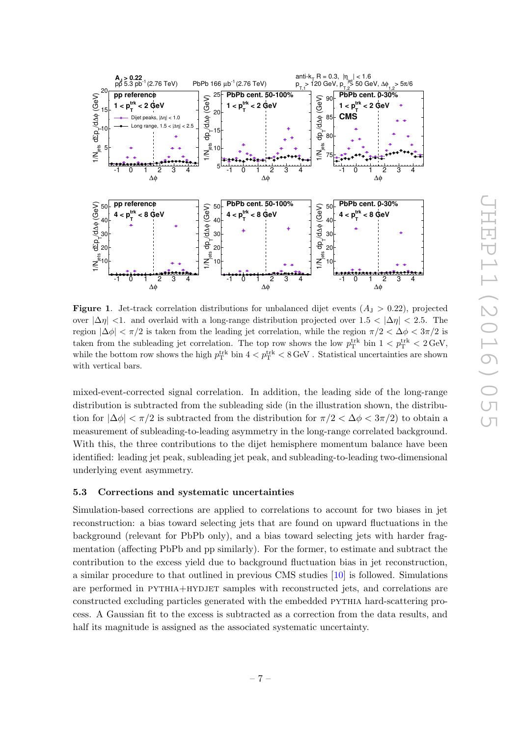

<span id="page-7-1"></span>**Figure 1.** Jet-track correlation distributions for unbalanced dijet events  $(A<sub>1</sub> > 0.22)$ , projected over  $|\Delta \eta| < 1$ . and overlaid with a long-range distribution projected over  $1.5 < |\Delta \eta| < 2.5$ . The region  $|\Delta\phi| < \pi/2$  is taken from the leading jet correlation, while the region  $\pi/2 < \Delta\phi < 3\pi/2$  is taken from the subleading jet correlation. The top row shows the low  $p_T^{\text{trk}}$  bin  $1 < p_T^{\text{trk}} < 2 \text{ GeV}$ , while the bottom row shows the high  $p_T^{\text{trk}}$  bin  $4 < p_T^{\text{trk}} < 8 \,\text{GeV}$ . Statistical uncertainties are shown with vertical bars.

mixed-event-corrected signal correlation. In addition, the leading side of the long-range distribution is subtracted from the subleading side (in the illustration shown, the distribution for  $|\Delta\phi| < \pi/2$  is subtracted from the distribution for  $\pi/2 < \Delta\phi < 3\pi/2$  to obtain a measurement of subleading-to-leading asymmetry in the long-range correlated background. With this, the three contributions to the dijet hemisphere momentum balance have been identified: leading jet peak, subleading jet peak, and subleading-to-leading two-dimensional underlying event asymmetry.

### <span id="page-7-0"></span>5.3 Corrections and systematic uncertainties

Simulation-based corrections are applied to correlations to account for two biases in jet reconstruction: a bias toward selecting jets that are found on upward fluctuations in the background (relevant for PbPb only), and a bias toward selecting jets with harder fragmentation (affecting PbPb and pp similarly). For the former, to estimate and subtract the contribution to the excess yield due to background fluctuation bias in jet reconstruction, a similar procedure to that outlined in previous CMS studies [\[10\]](#page-22-8) is followed. Simulations are performed in PYTHIA+HYDJET samples with reconstructed jets, and correlations are constructed excluding particles generated with the embedded pythia hard-scattering process. A Gaussian fit to the excess is subtracted as a correction from the data results, and half its magnitude is assigned as the associated systematic uncertainty.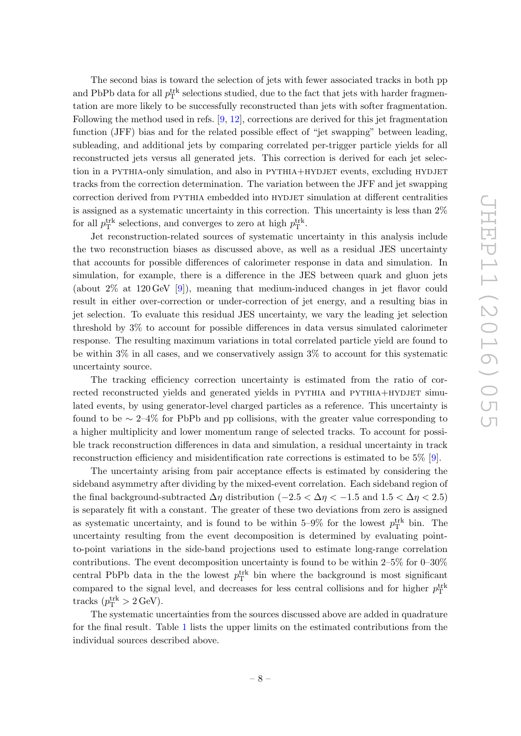The second bias is toward the selection of jets with fewer associated tracks in both pp and PbPb data for all  $p_{\textrm{T}}^{\textrm{trk}}$  selections studied, due to the fact that jets with harder fragmentation are more likely to be successfully reconstructed than jets with softer fragmentation. Following the method used in refs.  $[9, 12]$  $[9, 12]$  $[9, 12]$ , corrections are derived for this jet fragmentation function (JFF) bias and for the related possible effect of "jet swapping" between leading, subleading, and additional jets by comparing correlated per-trigger particle yields for all reconstructed jets versus all generated jets. This correction is derived for each jet selection in a PYTHIA-only simulation, and also in PYTHIA+HYDJET events, excluding HYDJET tracks from the correction determination. The variation between the JFF and jet swapping correction derived from PYTHIA embedded into HYDJET simulation at different centralities is assigned as a systematic uncertainty in this correction. This uncertainty is less than 2% for all  $p_T^{\text{trk}}$  selections, and converges to zero at high  $p_T^{\text{trk}}$ .

Jet reconstruction-related sources of systematic uncertainty in this analysis include the two reconstruction biases as discussed above, as well as a residual JES uncertainty that accounts for possible differences of calorimeter response in data and simulation. In simulation, for example, there is a difference in the JES between quark and gluon jets (about 2% at 120 GeV [\[9\]](#page-22-7)), meaning that medium-induced changes in jet flavor could result in either over-correction or under-correction of jet energy, and a resulting bias in jet selection. To evaluate this residual JES uncertainty, we vary the leading jet selection threshold by 3% to account for possible differences in data versus simulated calorimeter response. The resulting maximum variations in total correlated particle yield are found to be within 3% in all cases, and we conservatively assign 3% to account for this systematic uncertainty source.

The tracking efficiency correction uncertainty is estimated from the ratio of corrected reconstructed yields and generated yields in PYTHIA and PYTHIA+HYDJET simulated events, by using generator-level charged particles as a reference. This uncertainty is found to be  $\sim 2-4\%$  for PbPb and pp collisions, with the greater value corresponding to a higher multiplicity and lower momentum range of selected tracks. To account for possible track reconstruction differences in data and simulation, a residual uncertainty in track reconstruction efficiency and misidentification rate corrections is estimated to be 5% [\[9\]](#page-22-7).

The uncertainty arising from pair acceptance effects is estimated by considering the sideband asymmetry after dividing by the mixed-event correlation. Each sideband region of the final background-subtracted  $\Delta \eta$  distribution ( $-2.5 < \Delta \eta < -1.5$  and  $1.5 < \Delta \eta < 2.5$ ) is separately fit with a constant. The greater of these two deviations from zero is assigned as systematic uncertainty, and is found to be within  $5{\text -}9\%$  for the lowest  $p_T^{\text{trk}}$  bin. The uncertainty resulting from the event decomposition is determined by evaluating pointto-point variations in the side-band projections used to estimate long-range correlation contributions. The event decomposition uncertainty is found to be within 2–5% for 0–30% central PbPb data in the the lowest  $p_T^{\text{trk}}$  bin where the background is most significant compared to the signal level, and decreases for less central collisions and for higher  $p_T^{\text{trk}}$ tracks  $(p_T^{\text{trk}} > 2 \,\text{GeV}).$ 

The systematic uncertainties from the sources discussed above are added in quadrature for the final result. Table [1](#page-9-1) lists the upper limits on the estimated contributions from the individual sources described above.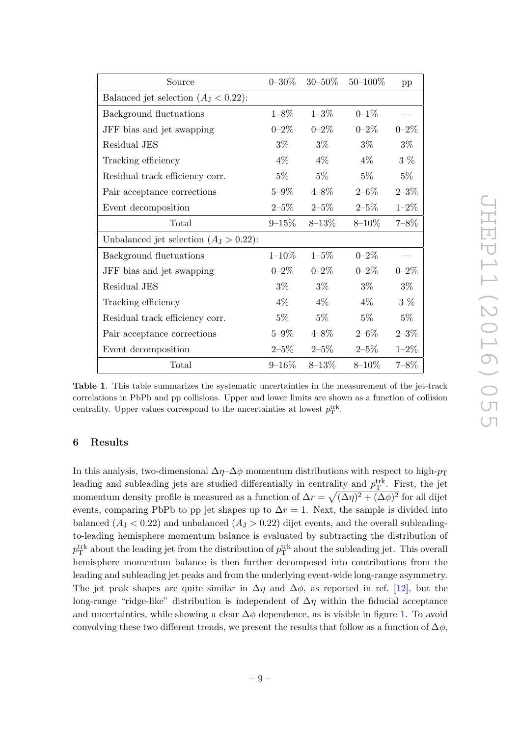| Source                                    | $0 - 30\%$ | $30\text{--}50\%$ | $50 - 100\%$ | pp        |
|-------------------------------------------|------------|-------------------|--------------|-----------|
| Balanced jet selection $(A_J < 0.22)$ :   |            |                   |              |           |
| Background fluctuations                   | $1 - 8\%$  | $1 - 3\%$         | $0 - 1\%$    |           |
| JFF bias and jet swapping                 | $0 - 2\%$  | $0 - 2\%$         | $0 - 2\%$    | $0 - 2\%$ |
| Residual JES                              | $3\%$      | $3\%$             | $3\%$        | $3\%$     |
| Tracking efficiency                       | $4\%$      | $4\%$             | $4\%$        | $3\%$     |
| Residual track efficiency corr.           | $5\%$      | $5\%$             | $5\%$        | $5\%$     |
| Pair acceptance corrections               | $5 - 9\%$  | $4 - 8\%$         | $2 - 6\%$    | $2 - 3\%$ |
| Event decomposition                       | $2 - 5\%$  | $2 - 5\%$         | $2 - 5\%$    | $1 - 2\%$ |
| Total                                     | $9 - 15\%$ | $8 - 13\%$        | $8 - 10\%$   | $7 - 8\%$ |
| Unbalanced jet selection $(A_J > 0.22)$ : |            |                   |              |           |
| Background fluctuations                   | $1 - 10\%$ | $1 - 5\%$         | $0 - 2\%$    |           |
| JFF bias and jet swapping                 | $0 - 2\%$  | $0 - 2\%$         | $0 - 2\%$    | $0 - 2\%$ |
| Residual JES                              | $3\%$      | $3\%$             | $3\%$        | $3\%$     |
| Tracking efficiency                       | $4\%$      | $4\%$             | $4\%$        | $3\%$     |
| Residual track efficiency corr.           | $5\%$      | $5\%$             | $5\%$        | $5\%$     |
| Pair acceptance corrections               | $5 - 9\%$  | $4 - 8\%$         | $2 - 6\%$    | $2 - 3\%$ |
| Event decomposition                       | $2 - 5\%$  | $2 - 5\%$         | $2 - 5\%$    | $1 - 2\%$ |
| Total                                     | $9 - 16\%$ | $8 - 13\%$        | $8 - 10\%$   | $7 - 8\%$ |

<span id="page-9-1"></span>Table 1. This table summarizes the systematic uncertainties in the measurement of the jet-track correlations in PbPb and pp collisions. Upper and lower limits are shown as a function of collision centrality. Upper values correspond to the uncertainties at lowest  $p_T^{\text{trk}}$ .

### <span id="page-9-0"></span>6 Results

In this analysis, two-dimensional  $\Delta \eta$ – $\Delta \phi$  momentum distributions with respect to high- $p_T$ leading and subleading jets are studied differentially in centrality and  $p_T^{\text{trk}}$ . First, the jet momentum density profile is measured as a function of  $\Delta r = \sqrt{(\Delta \eta)^2 + (\Delta \phi)^2}$  for all dijet events, comparing PbPb to pp jet shapes up to  $\Delta r = 1$ . Next, the sample is divided into balanced  $(A<sub>J</sub> < 0.22)$  and unbalanced  $(A<sub>J</sub> > 0.22)$  dijet events, and the overall subleadingto-leading hemisphere momentum balance is evaluated by subtracting the distribution of  $p_{\textrm{T}}^{\textrm{trk}}$  about the leading jet from the distribution of  $p_{\textrm{T}}^{\textrm{trk}}$  about the subleading jet. This overall hemisphere momentum balance is then further decomposed into contributions from the leading and subleading jet peaks and from the underlying event-wide long-range asymmetry. The jet peak shapes are quite similar in  $\Delta \eta$  and  $\Delta \phi$ , as reported in ref. [\[12\]](#page-22-10), but the long-range "ridge-like" distribution is independent of  $\Delta \eta$  within the fiducial acceptance and uncertainties, while showing a clear  $\Delta \phi$  dependence, as is visible in figure [1.](#page-7-1) To avoid convolving these two different trends, we present the results that follow as a function of  $\Delta\phi$ ,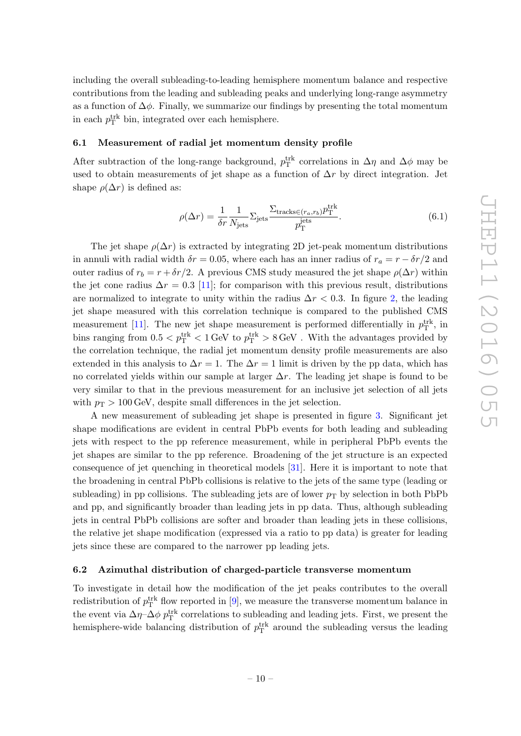including the overall subleading-to-leading hemisphere momentum balance and respective contributions from the leading and subleading peaks and underlying long-range asymmetry as a function of  $\Delta \phi$ . Finally, we summarize our findings by presenting the total momentum in each  $p_T^{\text{trk}}$  bin, integrated over each hemisphere.

#### <span id="page-10-0"></span>6.1 Measurement of radial jet momentum density profile

After subtraction of the long-range background,  $p_T^{\text{trk}}$  correlations in  $\Delta \eta$  and  $\Delta \phi$  may be used to obtain measurements of jet shape as a function of  $\Delta r$  by direct integration. Jet shape  $\rho(\Delta r)$  is defined as:

$$
\rho(\Delta r) = \frac{1}{\delta r} \frac{1}{N_{\text{jets}}} \Sigma_{\text{jets}} \frac{\Sigma_{\text{tracks} \in (r_a, r_b)} p_{\text{T}}^{\text{trk}}}{p_{\text{T}}^{\text{jets}}}.
$$
\n(6.1)

The jet shape  $\rho(\Delta r)$  is extracted by integrating 2D jet-peak momentum distributions in annuli with radial width  $\delta r = 0.05$ , where each has an inner radius of  $r_a = r - \delta r/2$  and outer radius of  $r_b = r + \delta r/2$ . A previous CMS study measured the jet shape  $\rho(\Delta r)$  within the jet cone radius  $\Delta r = 0.3$  [\[11\]](#page-22-9); for comparison with this previous result, distributions are normalized to integrate to unity within the radius  $\Delta r < 0.3$ . In figure [2,](#page-11-0) the leading jet shape measured with this correlation technique is compared to the published CMS measurement [\[11\]](#page-22-9). The new jet shape measurement is performed differentially in  $p_T^{\text{trk}}$ , in bins ranging from  $0.5 < p_T^{\text{trk}} < 1 \,\text{GeV}$  to  $p_T^{\text{trk}} > 8 \,\text{GeV}$ . With the advantages provided by the correlation technique, the radial jet momentum density profile measurements are also extended in this analysis to  $\Delta r = 1$ . The  $\Delta r = 1$  limit is driven by the pp data, which has no correlated yields within our sample at larger  $\Delta r$ . The leading jet shape is found to be very similar to that in the previous measurement for an inclusive jet selection of all jets with  $p_T > 100 \,\text{GeV}$ , despite small differences in the jet selection.

A new measurement of subleading jet shape is presented in figure [3.](#page-12-0) Significant jet shape modifications are evident in central PbPb events for both leading and subleading jets with respect to the pp reference measurement, while in peripheral PbPb events the jet shapes are similar to the pp reference. Broadening of the jet structure is an expected consequence of jet quenching in theoretical models [\[31\]](#page-23-16). Here it is important to note that the broadening in central PbPb collisions is relative to the jets of the same type (leading or subleading) in pp collisions. The subleading jets are of lower  $p<sub>T</sub>$  by selection in both PbPb and pp, and significantly broader than leading jets in pp data. Thus, although subleading jets in central PbPb collisions are softer and broader than leading jets in these collisions, the relative jet shape modification (expressed via a ratio to pp data) is greater for leading jets since these are compared to the narrower pp leading jets.

### <span id="page-10-1"></span>6.2 Azimuthal distribution of charged-particle transverse momentum

To investigate in detail how the modification of the jet peaks contributes to the overall redistribution of  $p_{\text{T}}^{\text{trk}}$  flow reported in [\[9\]](#page-22-7), we measure the transverse momentum balance in the event via  $\Delta \eta$ - $\Delta \phi$   $p_T^{\text{trk}}$  correlations to subleading and leading jets. First, we present the hemisphere-wide balancing distribution of  $p_T^{\text{trk}}$  around the subleading versus the leading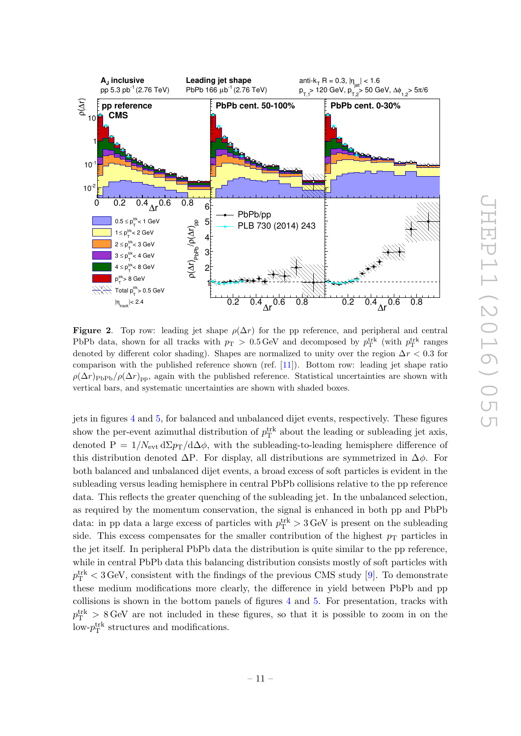

<span id="page-11-0"></span>Figure 2. Top row: leading jet shape  $\rho(\Delta r)$  for the pp reference, and peripheral and central PbPb data, shown for all tracks with  $p_T > 0.5 \,\text{GeV}$  and decomposed by  $p_T^{\text{trk}}$  (with  $p_T^{\text{trk}}$  ranges denoted by different color shading). Shapes are normalized to unity over the region  $\Delta r < 0.3$  for comparison with the published reference shown (ref. [\[11\]](#page-22-9)). Bottom row: leading jet shape ratio  $\rho(\Delta r)_{\rm PbPb}/\rho(\Delta r)_{\rm pp}$ , again with the published reference. Statistical uncertainties are shown with vertical bars, and systematic uncertainties are shown with shaded boxes.

jets in figures [4](#page-13-0) and [5,](#page-14-1) for balanced and unbalanced dijet events, respectively. These figures show the per-event azimuthal distribution of  $p_T^{\text{trk}}$  about the leading or subleading jet axis, denoted P =  $1/N_{\text{evt}} d\Sigma p_T/d\Delta\phi$ , with the subleading-to-leading hemisphere difference of this distribution denoted  $\Delta P$ . For display, all distributions are symmetrized in  $\Delta \phi$ . For both balanced and unbalanced dijet events, a broad excess of soft particles is evident in the subleading versus leading hemisphere in central PbPb collisions relative to the pp reference data. This reflects the greater quenching of the subleading jet. In the unbalanced selection, as required by the momentum conservation, the signal is enhanced in both pp and PbPb data: in pp data a large excess of particles with  $p_T^{\text{trk}} > 3 \,\text{GeV}$  is present on the subleading side. This excess compensates for the smaller contribution of the highest  $p_T$  particles in the jet itself. In peripheral PbPb data the distribution is quite similar to the pp reference, while in central PbPb data this balancing distribution consists mostly of soft particles with  $p_{\textrm{T}}^{\textrm{trk}} < 3\,\textrm{GeV},$  consistent with the findings of the previous CMS study [\[9\]](#page-22-7). To demonstrate these medium modifications more clearly, the difference in yield between PbPb and pp collisions is shown in the bottom panels of figures [4](#page-13-0) and [5.](#page-14-1) For presentation, tracks with  $p_T^{\text{trk}} > 8 \,\text{GeV}$  are not included in these figures, so that it is possible to zoom in on the low- $p_T^{\text{trk}}$  structures and modifications.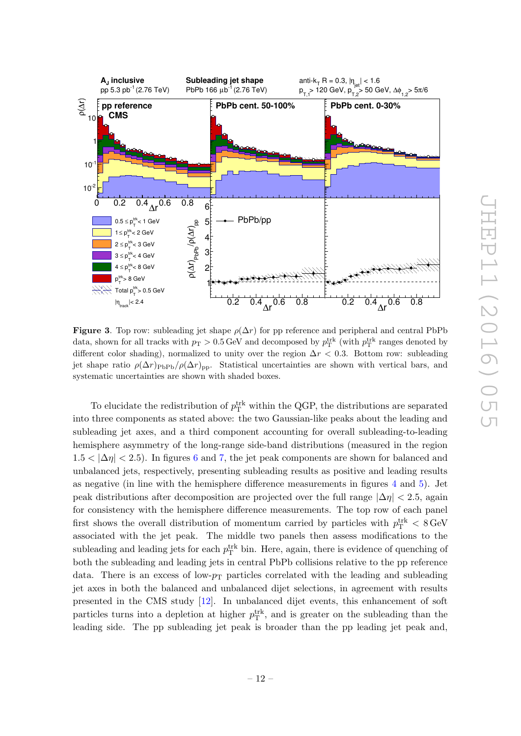

<span id="page-12-0"></span>Figure 3. Top row: subleading jet shape  $\rho(\Delta r)$  for pp reference and peripheral and central PbPb data, shown for all tracks with  $p_T > 0.5 \,\text{GeV}$  and decomposed by  $p_T^{\text{trk}}$  (with  $p_T^{\text{trk}}$  ranges denoted by different color shading), normalized to unity over the region  $\Delta r < 0.3$ . Bottom row: subleading jet shape ratio  $\rho(\Delta r)_{\text{PbPb}}/\rho(\Delta r)_{\text{pp}}$ . Statistical uncertainties are shown with vertical bars, and systematic uncertainties are shown with shaded boxes.

To elucidate the redistribution of  $p_T^{\text{trk}}$  within the QGP, the distributions are separated into three components as stated above: the two Gaussian-like peaks about the leading and subleading jet axes, and a third component accounting for overall subleading-to-leading hemisphere asymmetry of the long-range side-band distributions (measured in the region  $1.5 < |\Delta \eta| < 2.5$ ). In figures [6](#page-15-0) and [7,](#page-16-0) the jet peak components are shown for balanced and unbalanced jets, respectively, presenting subleading results as positive and leading results as negative (in line with the hemisphere difference measurements in figures [4](#page-13-0) and [5\)](#page-14-1). Jet peak distributions after decomposition are projected over the full range  $|\Delta \eta| < 2.5$ , again for consistency with the hemisphere difference measurements. The top row of each panel first shows the overall distribution of momentum carried by particles with  $p_T^{\text{trk}} < 8 \,\text{GeV}$ associated with the jet peak. The middle two panels then assess modifications to the subleading and leading jets for each  $p_T^{\text{trk}}$  bin. Here, again, there is evidence of quenching of both the subleading and leading jets in central PbPb collisions relative to the pp reference data. There is an excess of low- $p<sub>T</sub>$  particles correlated with the leading and subleading jet axes in both the balanced and unbalanced dijet selections, in agreement with results presented in the CMS study [\[12\]](#page-22-10). In unbalanced dijet events, this enhancement of soft particles turns into a depletion at higher  $p_T^{\text{trk}}$ , and is greater on the subleading than the leading side. The pp subleading jet peak is broader than the pp leading jet peak and,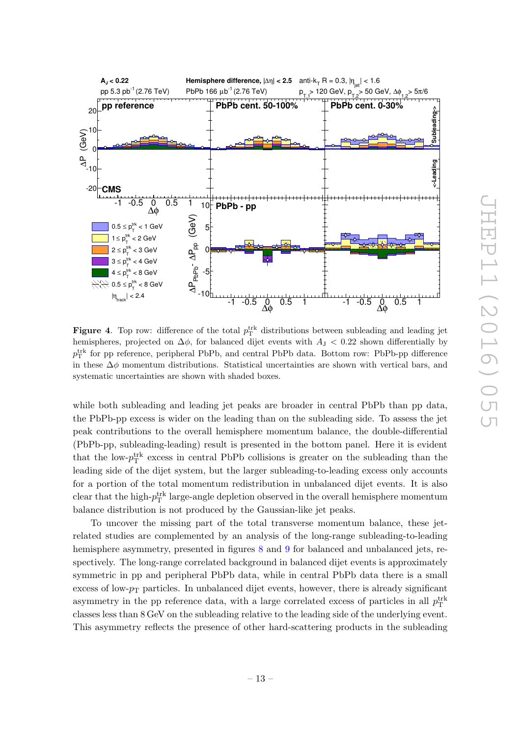

<span id="page-13-0"></span>**Figure 4.** Top row: difference of the total  $p_T^{\text{trk}}$  distributions between subleading and leading jet hemispheres, projected on  $\Delta\phi$ , for balanced dijet events with  $A_J < 0.22$  shown differentially by  $p_T^{\text{trk}}$  for pp reference, peripheral PbPb, and central PbPb data. Bottom row: PbPb-pp difference in these  $\Delta\phi$  momentum distributions. Statistical uncertainties are shown with vertical bars, and systematic uncertainties are shown with shaded boxes.

while both subleading and leading jet peaks are broader in central PbPb than pp data, the PbPb-pp excess is wider on the leading than on the subleading side. To assess the jet peak contributions to the overall hemisphere momentum balance, the double-differential (PbPb-pp, subleading-leading) result is presented in the bottom panel. Here it is evident that the low- $p_T^{\text{trk}}$  excess in central PbPb collisions is greater on the subleading than the leading side of the dijet system, but the larger subleading-to-leading excess only accounts for a portion of the total momentum redistribution in unbalanced dijet events. It is also clear that the high- $p_T^{\text{trk}}$  large-angle depletion observed in the overall hemisphere momentum balance distribution is not produced by the Gaussian-like jet peaks.

To uncover the missing part of the total transverse momentum balance, these jetrelated studies are complemented by an analysis of the long-range subleading-to-leading hemisphere asymmetry, presented in figures [8](#page-17-0) and [9](#page-18-1) for balanced and unbalanced jets, respectively. The long-range correlated background in balanced dijet events is approximately symmetric in pp and peripheral PbPb data, while in central PbPb data there is a small excess of low- $p_T$  particles. In unbalanced dijet events, however, there is already significant asymmetry in the pp reference data, with a large correlated excess of particles in all  $p_T^{\text{trk}}$ classes less than 8 GeV on the subleading relative to the leading side of the underlying event. This asymmetry reflects the presence of other hard-scattering products in the subleading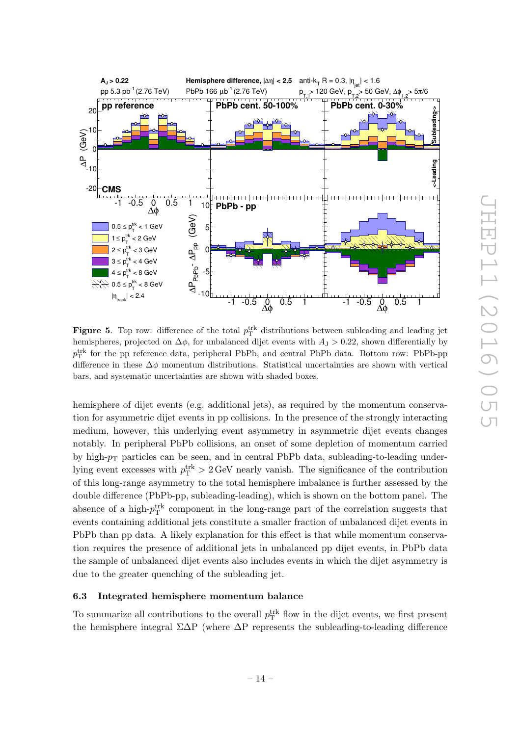

<span id="page-14-1"></span>**Figure 5.** Top row: difference of the total  $p_T^{\text{trk}}$  distributions between subleading and leading jet hemispheres, projected on  $\Delta \phi$ , for unbalanced dijet events with  $A_J > 0.22$ , shown differentially by  $p_T^{\text{trk}}$  for the pp reference data, peripheral PbPb, and central PbPb data. Bottom row: PbPb-pp difference in these  $\Delta\phi$  momentum distributions. Statistical uncertainties are shown with vertical bars, and systematic uncertainties are shown with shaded boxes.

hemisphere of dijet events (e.g. additional jets), as required by the momentum conservation for asymmetric dijet events in pp collisions. In the presence of the strongly interacting medium, however, this underlying event asymmetry in asymmetric dijet events changes notably. In peripheral PbPb collisions, an onset of some depletion of momentum carried by high- $p_T$  particles can be seen, and in central PbPb data, subleading-to-leading underlying event excesses with  $p_T^{\text{trk}} > 2 \,\text{GeV}$  nearly vanish. The significance of the contribution of this long-range asymmetry to the total hemisphere imbalance is further assessed by the double difference (PbPb-pp, subleading-leading), which is shown on the bottom panel. The absence of a high- $p_T^{\text{trk}}$  component in the long-range part of the correlation suggests that events containing additional jets constitute a smaller fraction of unbalanced dijet events in PbPb than pp data. A likely explanation for this effect is that while momentum conservation requires the presence of additional jets in unbalanced pp dijet events, in PbPb data the sample of unbalanced dijet events also includes events in which the dijet asymmetry is due to the greater quenching of the subleading jet.

### <span id="page-14-0"></span>6.3 Integrated hemisphere momentum balance

To summarize all contributions to the overall  $p_T^{\text{trk}}$  flow in the dijet events, we first present the hemisphere integral  $\Sigma\Delta P$  (where  $\Delta P$  represents the subleading-to-leading difference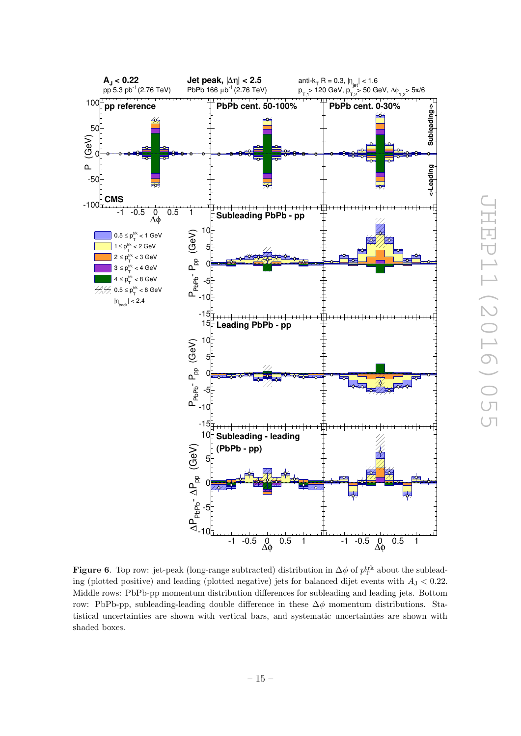

<span id="page-15-0"></span>**Figure 6.** Top row: jet-peak (long-range subtracted) distribution in  $\Delta\phi$  of  $p_T^{\text{trk}}$  about the subleading (plotted positive) and leading (plotted negative) jets for balanced dijet events with  $A<sub>J</sub> < 0.22$ . Middle rows: PbPb-pp momentum distribution differences for subleading and leading jets. Bottom row: PbPb-pp, subleading-leading double difference in these  $\Delta\phi$  momentum distributions. Statistical uncertainties are shown with vertical bars, and systematic uncertainties are shown with shaded boxes.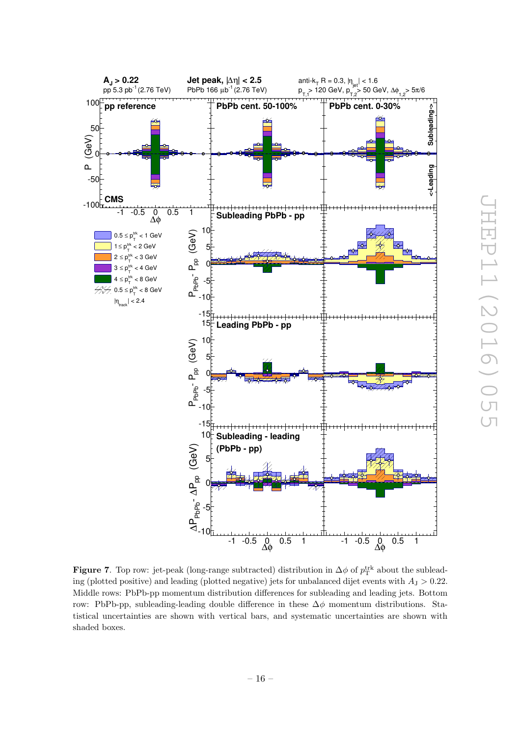

<span id="page-16-0"></span>**Figure 7.** Top row: jet-peak (long-range subtracted) distribution in  $\Delta\phi$  of  $p_T^{\text{trk}}$  about the subleading (plotted positive) and leading (plotted negative) jets for unbalanced dijet events with  $A_J > 0.22$ . Middle rows: PbPb-pp momentum distribution differences for subleading and leading jets. Bottom row: PbPb-pp, subleading-leading double difference in these  $\Delta\phi$  momentum distributions. Statistical uncertainties are shown with vertical bars, and systematic uncertainties are shown with shaded boxes.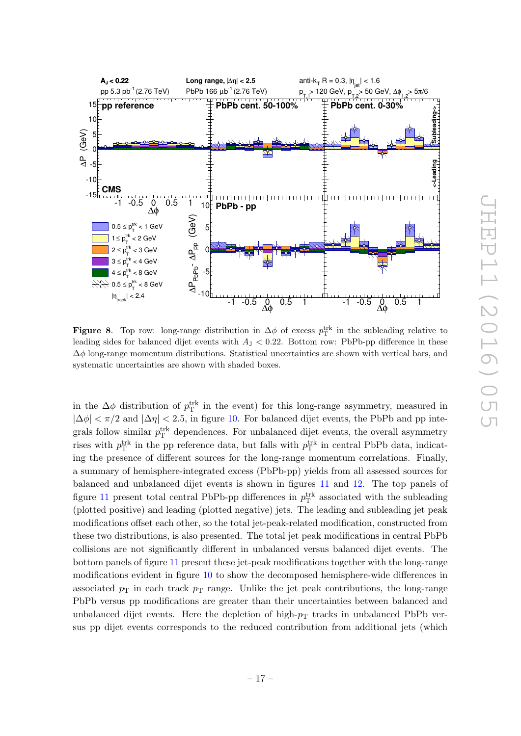

<span id="page-17-0"></span>**Figure 8.** Top row: long-range distribution in  $\Delta\phi$  of excess  $p_T^{\text{trk}}$  in the subleading relative to leading sides for balanced dijet events with  $A<sub>J</sub> < 0.22$ . Bottom row: PbPb-pp difference in these  $\Delta\phi$  long-range momentum distributions. Statistical uncertainties are shown with vertical bars, and systematic uncertainties are shown with shaded boxes.

in the  $\Delta\phi$  distribution of  $p_T^{\text{trk}}$  in the event) for this long-range asymmetry, measured in  $|\Delta\phi| < \pi/2$  and  $|\Delta\eta| < 2.5$ , in figure [10.](#page-19-0) For balanced dijet events, the PbPb and pp integrals follow similar  $p_T^{\text{trk}}$  dependences. For unbalanced dijet events, the overall asymmetry rises with  $p_{\rm T}^{\rm trk}$  in the pp reference data, but falls with  $p_{\rm T}^{\rm trk}$  in central PbPb data, indicating the presence of different sources for the long-range momentum correlations. Finally, a summary of hemisphere-integrated excess (PbPb-pp) yields from all assessed sources for balanced and unbalanced dijet events is shown in figures [11](#page-20-0) and [12.](#page-21-0) The top panels of figure [11](#page-20-0) present total central PbPb-pp differences in  $p_T^{\text{trk}}$  associated with the subleading (plotted positive) and leading (plotted negative) jets. The leading and subleading jet peak modifications offset each other, so the total jet-peak-related modification, constructed from these two distributions, is also presented. The total jet peak modifications in central PbPb collisions are not significantly different in unbalanced versus balanced dijet events. The bottom panels of figure [11](#page-20-0) present these jet-peak modifications together with the long-range modifications evident in figure [10](#page-19-0) to show the decomposed hemisphere-wide differences in associated  $p_T$  in each track  $p_T$  range. Unlike the jet peak contributions, the long-range PbPb versus pp modifications are greater than their uncertainties between balanced and unbalanced dijet events. Here the depletion of high- $p<sub>T</sub>$  tracks in unbalanced PbPb versus pp dijet events corresponds to the reduced contribution from additional jets (which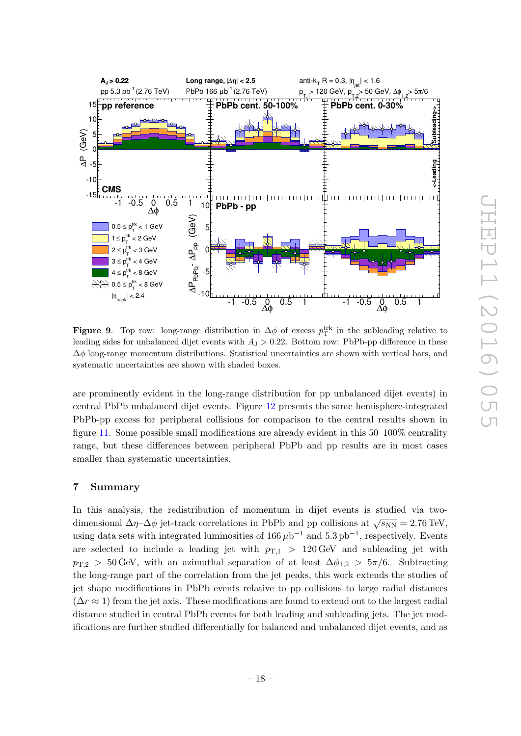

<span id="page-18-1"></span>**Figure 9.** Top row: long-range distribution in  $\Delta\phi$  of excess  $p_T^{\text{trk}}$  in the subleading relative to leading sides for unbalanced dijet events with  $A_J > 0.22$ . Bottom row: PbPb-pp difference in these  $\Delta\phi$  long-range momentum distributions. Statistical uncertainties are shown with vertical bars, and systematic uncertainties are shown with shaded boxes.

are prominently evident in the long-range distribution for pp unbalanced dijet events) in central PbPb unbalanced dijet events. Figure [12](#page-21-0) presents the same hemisphere-integrated PbPb-pp excess for peripheral collisions for comparison to the central results shown in figure [11.](#page-20-0) Some possible small modifications are already evident in this 50–100% centrality range, but these differences between peripheral PbPb and pp results are in most cases smaller than systematic uncertainties.

### <span id="page-18-0"></span>7 Summary

In this analysis, the redistribution of momentum in dijet events is studied via twodimensional  $\Delta \eta$ – $\Delta \phi$  jet-track correlations in PbPb and pp collisions at  $\sqrt{s_{NN}} = 2.76$  TeV, using data sets with integrated luminosities of  $166 \,\mu b^{-1}$  and  $5.3 \text{ pb}^{-1}$ , respectively. Events are selected to include a leading jet with  $p_{T,1} > 120 \,\text{GeV}$  and subleading jet with  $p_{T,2} > 50$  GeV, with an azimuthal separation of at least  $\Delta \phi_{1,2} > 5\pi/6$ . Subtracting the long-range part of the correlation from the jet peaks, this work extends the studies of jet shape modifications in PbPb events relative to pp collisions to large radial distances  $(\Delta r \approx 1)$  from the jet axis. These modifications are found to extend out to the largest radial distance studied in central PbPb events for both leading and subleading jets. The jet modifications are further studied differentially for balanced and unbalanced dijet events, and as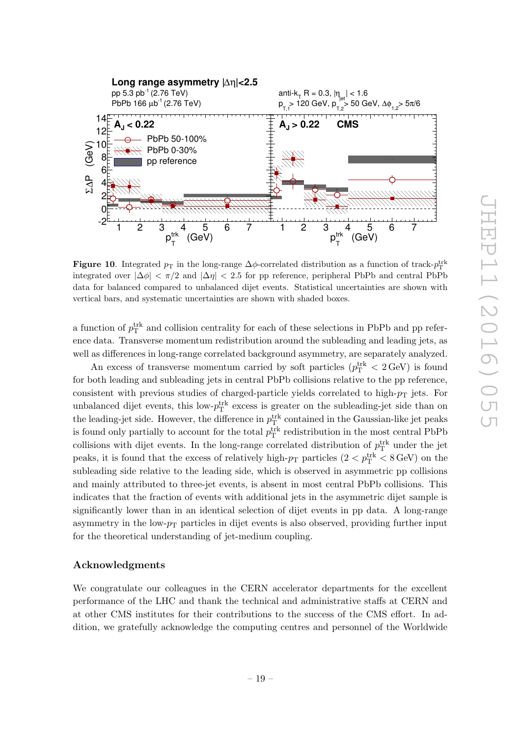

<span id="page-19-0"></span>Figure 10. Integrated  $p_T$  in the long-range  $\Delta\phi$ -correlated distribution as a function of track- $p_T^{\text{trk}}$ integrated over  $|\Delta\phi| < \pi/2$  and  $|\Delta\eta| < 2.5$  for pp reference, peripheral PbPb and central PbPb data for balanced compared to unbalanced dijet events. Statistical uncertainties are shown with vertical bars, and systematic uncertainties are shown with shaded boxes.

a function of  $p_T^{\text{trk}}$  and collision centrality for each of these selections in PbPb and pp reference data. Transverse momentum redistribution around the subleading and leading jets, as well as differences in long-range correlated background asymmetry, are separately analyzed.

An excess of transverse momentum carried by soft particles  $(p_T^{\text{trk}} < 2 \,\text{GeV})$  is found for both leading and subleading jets in central PbPb collisions relative to the pp reference, consistent with previous studies of charged-particle yields correlated to high- $p<sub>T</sub>$  jets. For unbalanced dijet events, this low- $p_T^{\text{trk}}$  excess is greater on the subleading-jet side than on the leading-jet side. However, the difference in  $p_T^{\text{trk}}$  contained in the Gaussian-like jet peaks is found only partially to account for the total  $p_T^{\text{trk}}$  redistribution in the most central PbPb collisions with dijet events. In the long-range correlated distribution of  $p_T^{\text{trk}}$  under the jet peaks, it is found that the excess of relatively high- $p_T$  particles  $(2 < p_T^{\text{trk}} < 8 \,\text{GeV})$  on the subleading side relative to the leading side, which is observed in asymmetric pp collisions and mainly attributed to three-jet events, is absent in most central PbPb collisions. This indicates that the fraction of events with additional jets in the asymmetric dijet sample is significantly lower than in an identical selection of dijet events in pp data. A long-range asymmetry in the low- $p_T$  particles in dijet events is also observed, providing further input for the theoretical understanding of jet-medium coupling.

### Acknowledgments

We congratulate our colleagues in the CERN accelerator departments for the excellent performance of the LHC and thank the technical and administrative staffs at CERN and at other CMS institutes for their contributions to the success of the CMS effort. In addition, we gratefully acknowledge the computing centres and personnel of the Worldwide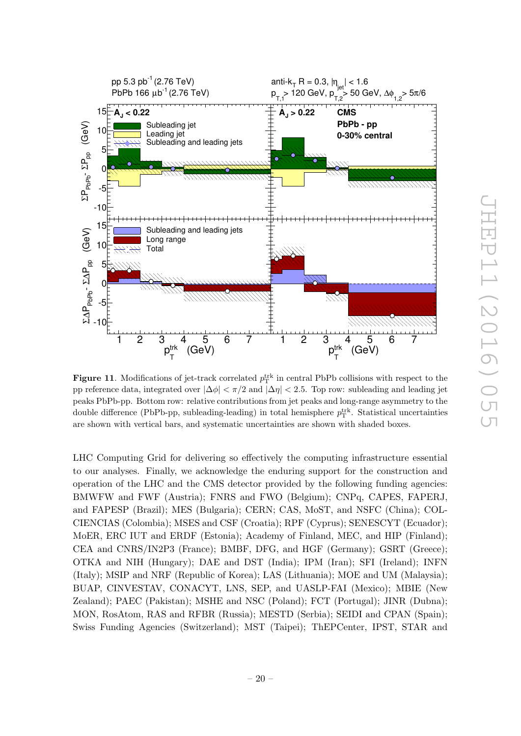

<span id="page-20-0"></span>**Figure 11.** Modifications of jet-track correlated  $p_T^{\text{trk}}$  in central PbPb collisions with respect to the pp reference data, integrated over  $|\Delta\phi| < \pi/2$  and  $|\Delta\eta| < 2.5$ . Top row: subleading and leading jet peaks PbPb-pp. Bottom row: relative contributions from jet peaks and long-range asymmetry to the double difference (PbPb-pp, subleading-leading) in total hemisphere  $p_T^{\text{trk}}$ . Statistical uncertainties are shown with vertical bars, and systematic uncertainties are shown with shaded boxes.

LHC Computing Grid for delivering so effectively the computing infrastructure essential to our analyses. Finally, we acknowledge the enduring support for the construction and operation of the LHC and the CMS detector provided by the following funding agencies: BMWFW and FWF (Austria); FNRS and FWO (Belgium); CNPq, CAPES, FAPERJ, and FAPESP (Brazil); MES (Bulgaria); CERN; CAS, MoST, and NSFC (China); COL-CIENCIAS (Colombia); MSES and CSF (Croatia); RPF (Cyprus); SENESCYT (Ecuador); MoER, ERC IUT and ERDF (Estonia); Academy of Finland, MEC, and HIP (Finland); CEA and CNRS/IN2P3 (France); BMBF, DFG, and HGF (Germany); GSRT (Greece); OTKA and NIH (Hungary); DAE and DST (India); IPM (Iran); SFI (Ireland); INFN (Italy); MSIP and NRF (Republic of Korea); LAS (Lithuania); MOE and UM (Malaysia); BUAP, CINVESTAV, CONACYT, LNS, SEP, and UASLP-FAI (Mexico); MBIE (New Zealand); PAEC (Pakistan); MSHE and NSC (Poland); FCT (Portugal); JINR (Dubna); MON, RosAtom, RAS and RFBR (Russia); MESTD (Serbia); SEIDI and CPAN (Spain); Swiss Funding Agencies (Switzerland); MST (Taipei); ThEPCenter, IPST, STAR and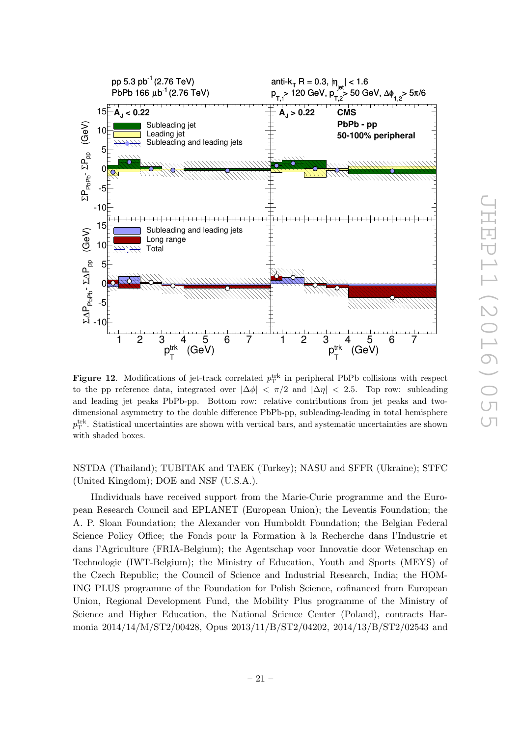

<span id="page-21-0"></span>**Figure 12.** Modifications of jet-track correlated  $p_T^{\text{trk}}$  in peripheral PbPb collisions with respect to the pp reference data, integrated over  $|\Delta\phi| < \pi/2$  and  $|\Delta\eta| < 2.5$ . Top row: subleading and leading jet peaks PbPb-pp. Bottom row: relative contributions from jet peaks and twodimensional asymmetry to the double difference PbPb-pp, subleading-leading in total hemisphere  $p_T^{\text{trk}}$ . Statistical uncertainties are shown with vertical bars, and systematic uncertainties are shown with shaded boxes.

NSTDA (Thailand); TUBITAK and TAEK (Turkey); NASU and SFFR (Ukraine); STFC (United Kingdom); DOE and NSF (U.S.A.).

IIndividuals have received support from the Marie-Curie programme and the European Research Council and EPLANET (European Union); the Leventis Foundation; the A. P. Sloan Foundation; the Alexander von Humboldt Foundation; the Belgian Federal Science Policy Office; the Fonds pour la Formation à la Recherche dans l'Industrie et dans l'Agriculture (FRIA-Belgium); the Agentschap voor Innovatie door Wetenschap en Technologie (IWT-Belgium); the Ministry of Education, Youth and Sports (MEYS) of the Czech Republic; the Council of Science and Industrial Research, India; the HOM-ING PLUS programme of the Foundation for Polish Science, cofinanced from European Union, Regional Development Fund, the Mobility Plus programme of the Ministry of Science and Higher Education, the National Science Center (Poland), contracts Harmonia 2014/14/M/ST2/00428, Opus 2013/11/B/ST2/04202, 2014/13/B/ST2/02543 and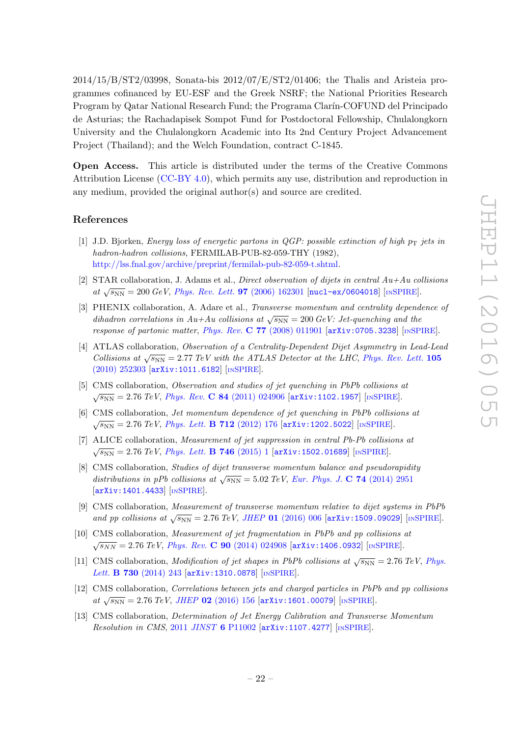2014/15/B/ST2/03998, Sonata-bis 2012/07/E/ST2/01406; the Thalis and Aristeia programmes cofinanced by EU-ESF and the Greek NSRF; the National Priorities Research Program by Qatar National Research Fund; the Programa Clarín-COFUND del Principado de Asturias; the Rachadapisek Sompot Fund for Postdoctoral Fellowship, Chulalongkorn University and the Chulalongkorn Academic into Its 2nd Century Project Advancement Project (Thailand); and the Welch Foundation, contract C-1845.

Open Access. This article is distributed under the terms of the Creative Commons Attribution License [\(CC-BY 4.0\)](http://creativecommons.org/licenses/by/4.0/), which permits any use, distribution and reproduction in any medium, provided the original author(s) and source are credited.

#### References

- <span id="page-22-0"></span>[1] J.D. Bjorken, Energy loss of energetic partons in  $QGP$ : possible extinction of high  $p_T$  jets in hadron-hadron collisions, FERMILAB-PUB-82-059-THY (1982), [http://lss.fnal.gov/archive/preprint/fermilab-pub-82-059-t.shtml.](http://lss.fnal.gov/archive/preprint/fermilab-pub-82-059-t.shtml)
- <span id="page-22-1"></span>[2] STAR collaboration, J. Adams et al., *Direct observation of dijets in central*  $Au+Au$  *collisions*  $\alpha t \sqrt{s_{NN}} = 200 \text{ GeV},$  [Phys. Rev. Lett.](http://dx.doi.org/10.1103/PhysRevLett.97.162301) 97 (2006) 162301 [[nucl-ex/0604018](https://arxiv.org/abs/nucl-ex/0604018)] [IN[SPIRE](http://inspirehep.net/search?p=find+EPRINT+nucl-ex/0604018)].
- <span id="page-22-2"></span>[3] PHENIX collaboration, A. Adare et al., Transverse momentum and centrality dependence of dihadron correlations in Au+Au collisions at  $\sqrt{s_{NN}} = 200 \text{ GeV}$ : Jet-quenching and the response of partonic matter, Phys. Rev. C  $77$  [\(2008\) 011901](http://dx.doi.org/10.1103/PhysRevC.77.011901)  $\ar{xiv:}$  0705.3238 [IN[SPIRE](http://inspirehep.net/search?p=find+EPRINT+arXiv:0705.3238)].
- <span id="page-22-3"></span>[4] ATLAS collaboration, Observation of a Centrality-Dependent Dijet Asymmetry in Lead-Lead Collisions at  $\sqrt{s_{NN}}$  = 2.77 TeV with the ATLAS Detector at the LHC, [Phys. Rev. Lett.](http://dx.doi.org/10.1103/PhysRevLett.105.252303) 105 [\(2010\) 252303](http://dx.doi.org/10.1103/PhysRevLett.105.252303) [[arXiv:1011.6182](https://arxiv.org/abs/1011.6182)] [IN[SPIRE](http://inspirehep.net/search?p=find+EPRINT+arXiv:1011.6182)].
- <span id="page-22-12"></span>[5] CMS collaboration, Observation and studies of jet quenching in PbPb collisions at  $\sqrt{s_{NN}} = 2.76 \text{ TeV}, \text{Phys. Rev. C } 84 \text{ (2011) } 024906 \text{ [arXiv:1102.1957] [INSPIRE].}$  $\sqrt{s_{NN}} = 2.76 \text{ TeV}, \text{Phys. Rev. C } 84 \text{ (2011) } 024906 \text{ [arXiv:1102.1957] [INSPIRE].}$  $\sqrt{s_{NN}} = 2.76 \text{ TeV}, \text{Phys. Rev. C } 84 \text{ (2011) } 024906 \text{ [arXiv:1102.1957] [INSPIRE].}$  $\sqrt{s_{NN}} = 2.76 \text{ TeV}, \text{Phys. Rev. C } 84 \text{ (2011) } 024906 \text{ [arXiv:1102.1957] [INSPIRE].}$  $\sqrt{s_{NN}} = 2.76 \text{ TeV}, \text{Phys. Rev. C } 84 \text{ (2011) } 024906 \text{ [arXiv:1102.1957] [INSPIRE].}$
- <span id="page-22-5"></span>[6] CMS collaboration, Jet momentum dependence of jet quenching in PbPb collisions at  $\sqrt{s_{NN}} = 2.76 \text{ TeV}, \text{Phys.}$  Lett. **B** 712 (2012) 176 [[arXiv:1202.5022](https://arxiv.org/abs/1202.5022)] [IN[SPIRE](http://inspirehep.net/search?p=find+EPRINT+arXiv:1202.5022)].
- <span id="page-22-4"></span>[7] ALICE collaboration, Measurement of jet suppression in central Pb-Pb collisions at  $\sqrt{s_{NN}} = 2.76 \text{ TeV},$  [Phys. Lett.](http://dx.doi.org/10.1016/j.physletb.2015.04.039) **B** 746 (2015) 1 [[arXiv:1502.01689](https://arxiv.org/abs/1502.01689)] [IN[SPIRE](http://inspirehep.net/search?p=find+EPRINT+arXiv:1502.01689)].
- <span id="page-22-6"></span>[8] CMS collaboration, Studies of dijet transverse momentum balance and pseudorapidity distributions in pPb collisions at  $\sqrt{s_{NN}} = 5.02 \text{ TeV}$ , [Eur. Phys. J.](http://dx.doi.org/10.1140/epjc/s10052-014-2951-y) C 74 (2014) 2951 [[arXiv:1401.4433](https://arxiv.org/abs/1401.4433)] [IN[SPIRE](http://inspirehep.net/search?p=find+EPRINT+arXiv:1401.4433)].
- <span id="page-22-7"></span>[9] CMS collaboration, Measurement of transverse momentum relative to dijet systems in PbPb and pp collisions at  $\sqrt{s_{NN}}$  = 2.76 TeV, JHEP 01 [\(2016\) 006](http://dx.doi.org/10.1007/JHEP01(2016)006) [[arXiv:1509.09029](https://arxiv.org/abs/1509.09029)] [IN[SPIRE](http://inspirehep.net/search?p=find+EPRINT+arXiv:1509.09029)].
- <span id="page-22-8"></span>[10] CMS collaboration, Measurement of jet fragmentation in PbPb and pp collisions at  $\sqrt{s_{NN}} = 2.76 \text{ TeV}, \text{Phys. Rev. C } 90 \text{ (2014) 024908 [arXiv:1406.0932] [NSPIRE].}$  $\sqrt{s_{NN}} = 2.76 \text{ TeV}, \text{Phys. Rev. C } 90 \text{ (2014) 024908 [arXiv:1406.0932] [NSPIRE].}$  $\sqrt{s_{NN}} = 2.76 \text{ TeV}, \text{Phys. Rev. C } 90 \text{ (2014) 024908 [arXiv:1406.0932] [NSPIRE].}$  $\sqrt{s_{NN}} = 2.76 \text{ TeV}, \text{Phys. Rev. C } 90 \text{ (2014) 024908 [arXiv:1406.0932] [NSPIRE].}$  $\sqrt{s_{NN}} = 2.76 \text{ TeV}, \text{Phys. Rev. C } 90 \text{ (2014) 024908 [arXiv:1406.0932] [NSPIRE].}$  $\sqrt{s_{NN}} = 2.76 \text{ TeV}, \text{Phys. Rev. C } 90 \text{ (2014) 024908 [arXiv:1406.0932] [NSPIRE].}$  $\sqrt{s_{NN}} = 2.76 \text{ TeV}, \text{Phys. Rev. C } 90 \text{ (2014) 024908 [arXiv:1406.0932] [NSPIRE].}$
- <span id="page-22-9"></span>[11] CMS collaboration, *Modification of jet shapes in PbPb collisions at*  $\sqrt{s_{NN}} = 2.76 \text{ TeV}$ , *[Phys.](http://dx.doi.org/10.1016/j.physletb.2014.01.042)* Lett. **B 730** [\(2014\) 243](http://dx.doi.org/10.1016/j.physletb.2014.01.042) [[arXiv:1310.0878](https://arxiv.org/abs/1310.0878)] [IN[SPIRE](http://inspirehep.net/search?p=find+EPRINT+arXiv:1310.0878)].
- <span id="page-22-10"></span>[12] CMS collaboration, Correlations between jets and charged particles in PbPb and pp collisions  $at \sqrt{s_{NN}} = 2.76 \; TeV, \; JHEP$  02 [\(2016\) 156](http://dx.doi.org/10.1007/JHEP02(2016)156) [[arXiv:1601.00079](https://arxiv.org/abs/1601.00079)] [IN[SPIRE](http://inspirehep.net/search?p=find+EPRINT+arXiv:1601.00079)].
- <span id="page-22-11"></span>[13] CMS collaboration, Determination of Jet Energy Calibration and Transverse Momentum Resolution in CMS,  $2011$  JINST 6 [P11002](http://dx.doi.org/10.1088/1748-0221/6/11/P11002)  $\left[$ [arXiv:1107.4277](https://arxiv.org/abs/1107.4277) $\right]$   $\left[$ IN[SPIRE](http://inspirehep.net/search?p=find+EPRINT+arXiv:1107.4277) $\right]$ .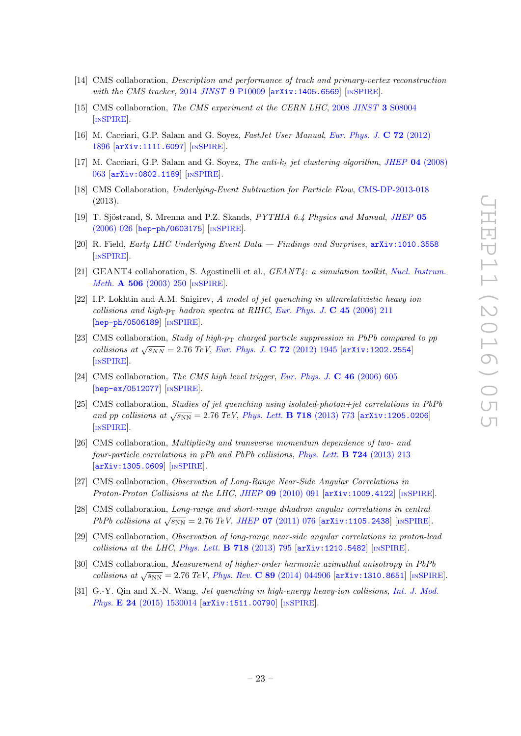- <span id="page-23-0"></span>[14] CMS collaboration, Description and performance of track and primary-vertex reconstruction with the CMS tracker,  $2014$  JINST 9 [P10009](http://dx.doi.org/10.1088/1748-0221/9/10/P10009)  $arXiv:1405.6569$  [IN[SPIRE](http://inspirehep.net/search?p=find+EPRINT+arXiv:1405.6569)].
- <span id="page-23-1"></span>[15] CMS collaboration, The CMS experiment at the CERN LHC, 2008 JINST 3 [S08004](http://dx.doi.org/10.1088/1748-0221/3/08/S08004) [IN[SPIRE](http://inspirehep.net/search?p=find+J+%22JINST,3,S08004%22)].
- <span id="page-23-2"></span>[16] M. Cacciari, G.P. Salam and G. Soyez, FastJet User Manual, [Eur. Phys. J.](http://dx.doi.org/10.1140/epjc/s10052-012-1896-2) C 72 (2012) [1896](http://dx.doi.org/10.1140/epjc/s10052-012-1896-2) [[arXiv:1111.6097](https://arxiv.org/abs/1111.6097)] [IN[SPIRE](http://inspirehep.net/search?p=find+EPRINT+arXiv:1111.6097)].
- <span id="page-23-3"></span>[17] M. Cacciari, G.P. Salam and G. Soyez, The anti- $k_t$  jet clustering algorithm, JHEP 04 [\(2008\)](http://dx.doi.org/10.1088/1126-6708/2008/04/063) [063](http://dx.doi.org/10.1088/1126-6708/2008/04/063) [[arXiv:0802.1189](https://arxiv.org/abs/0802.1189)] [IN[SPIRE](http://inspirehep.net/search?p=find+EPRINT+arXiv:0802.1189)].
- <span id="page-23-4"></span>[18] CMS Collaboration, Underlying-Event Subtraction for Particle Flow, [CMS-DP-2013-018](http://cds.cern.ch/record/1558644) (2013).
- <span id="page-23-5"></span>[19] T. Sjöstrand, S. Mrenna and P.Z. Skands,  $PYTHIA$  6.4 Physics and Manual, [JHEP](http://dx.doi.org/10.1088/1126-6708/2006/05/026) 05 [\(2006\) 026](http://dx.doi.org/10.1088/1126-6708/2006/05/026) [[hep-ph/0603175](https://arxiv.org/abs/hep-ph/0603175)] [IN[SPIRE](http://inspirehep.net/search?p=find+EPRINT+hep-ph/0603175)].
- <span id="page-23-6"></span>[20] R. Field, Early LHC Underlying Event Data — Findings and Surprises, arXiv: 1010.3558 [IN[SPIRE](http://inspirehep.net/search?p=find+EPRINT+arXiv:1010.3558)].
- <span id="page-23-7"></span>[21] GEANT4 collaboration, S. Agostinelli et al., GEANT4: a simulation toolkit, [Nucl. Instrum.](http://dx.doi.org/10.1016/S0168-9002(03)01368-8) Meth. A 506 [\(2003\) 250](http://dx.doi.org/10.1016/S0168-9002(03)01368-8) [IN[SPIRE](http://inspirehep.net/search?p=find+J+%22Nucl.Instrum.Meth.,A506,250%22)].
- <span id="page-23-8"></span>[22] I.P. Lokhtin and A.M. Snigirev, A model of jet quenching in ultrarelativistic heavy ion collisions and high-p<sub>T</sub> hadron spectra at RHIC, [Eur. Phys. J.](http://dx.doi.org/10.1140/epjc/s2005-02426-3)  $\bf{C}$  45 (2006) 211 [[hep-ph/0506189](https://arxiv.org/abs/hep-ph/0506189)] [IN[SPIRE](http://inspirehep.net/search?p=find+EPRINT+hep-ph/0506189)].
- <span id="page-23-9"></span>[23] CMS collaboration, *Study of high-p<sub>T</sub>* charged particle suppression in PbPb compared to pp collisions at  $\sqrt{s_{NN}} = 2.76$  TeV, [Eur. Phys. J.](http://dx.doi.org/10.1140/epjc/s10052-012-1945-x) C 72 (2012) 1945 [[arXiv:1202.2554](https://arxiv.org/abs/1202.2554)] [IN[SPIRE](http://inspirehep.net/search?p=find+EPRINT+arXiv:1202.2554)].
- <span id="page-23-10"></span>[24] CMS collaboration, *The CMS high level trigger*, *[Eur. Phys. J.](http://dx.doi.org/10.1140/epjc/s2006-02495-8)* **C** 46 (2006) 605 [[hep-ex/0512077](https://arxiv.org/abs/hep-ex/0512077)] [IN[SPIRE](http://inspirehep.net/search?p=find+EPRINT+hep-ex/0512077)].
- <span id="page-23-11"></span>[25] CMS collaboration, Studies of jet quenching using isolated-photon+jet correlations in PbPb and pp collisions at  $\sqrt{s_{\text{NN}}}$  = 2.76 TeV, [Phys. Lett.](http://dx.doi.org/10.1016/j.physletb.2012.11.003) B 718 (2013) 773 [[arXiv:1205.0206](https://arxiv.org/abs/1205.0206)] [IN[SPIRE](http://inspirehep.net/search?p=find+EPRINT+arXiv:1205.0206)].
- <span id="page-23-12"></span>[26] CMS collaboration, Multiplicity and transverse momentum dependence of two- and four-particle correlations in pPb and PbPb collisions, [Phys. Lett.](http://dx.doi.org/10.1016/j.physletb.2013.06.028)  $\bf{B}$  724 (2013) 213 [[arXiv:1305.0609](https://arxiv.org/abs/1305.0609)] [IN[SPIRE](http://inspirehep.net/search?p=find+EPRINT+arXiv:1305.0609)].
- <span id="page-23-13"></span>[27] CMS collaboration, Observation of Long-Range Near-Side Angular Correlations in Proton-Proton Collisions at the LHC, JHEP 09 [\(2010\) 091](http://dx.doi.org/10.1007/JHEP09(2010)091) [[arXiv:1009.4122](https://arxiv.org/abs/1009.4122)] [IN[SPIRE](http://inspirehep.net/search?p=find+EPRINT+arXiv:1009.4122)].
- [28] CMS collaboration, Long-range and short-range dihadron angular correlations in central PbPb collisions at  $\sqrt{s_{NN}} = 2.76$  TeV, JHEP 07 [\(2011\) 076](http://dx.doi.org/10.1007/JHEP07(2011)076) [[arXiv:1105.2438](https://arxiv.org/abs/1105.2438)] [IN[SPIRE](http://inspirehep.net/search?p=find+J+%22JHEP,1107,076%22)].
- <span id="page-23-14"></span>[29] CMS collaboration, Observation of long-range near-side angular correlations in proton-lead collisions at the LHC, [Phys. Lett.](http://dx.doi.org/10.1016/j.physletb.2012.11.025) **B** 718 (2013) 795  $\left[$ [arXiv:1210.5482](https://arxiv.org/abs/1210.5482) $\right]$   $\left[$ IN[SPIRE](http://inspirehep.net/search?p=find+EPRINT+arXiv:1210.5482) $\right]$ .
- <span id="page-23-15"></span>[30] CMS collaboration, Measurement of higher-order harmonic azimuthal anisotropy in PbPb collisions at  $\sqrt{s_{\rm NN}} = 2.76$  TeV, Phys. Rev. C 89 [\(2014\) 044906](http://dx.doi.org/10.1103/PhysRevC.89.044906) [[arXiv:1310.8651](https://arxiv.org/abs/1310.8651)] [IN[SPIRE](http://inspirehep.net/search?p=find+EPRINT+arXiv:1310.8651)].
- <span id="page-23-16"></span>[31] G.-Y. Qin and X.-N. Wang, *Jet quenching in high-energy heavy-ion collisions, [Int. J. Mod.](http://dx.doi.org/10.1142/S0218301315300143)* Phys. E 24 [\(2015\) 1530014](http://dx.doi.org/10.1142/S0218301315300143) [[arXiv:1511.00790](https://arxiv.org/abs/1511.00790)] [IN[SPIRE](http://inspirehep.net/search?p=find+EPRINT+arXiv:1511.00790)].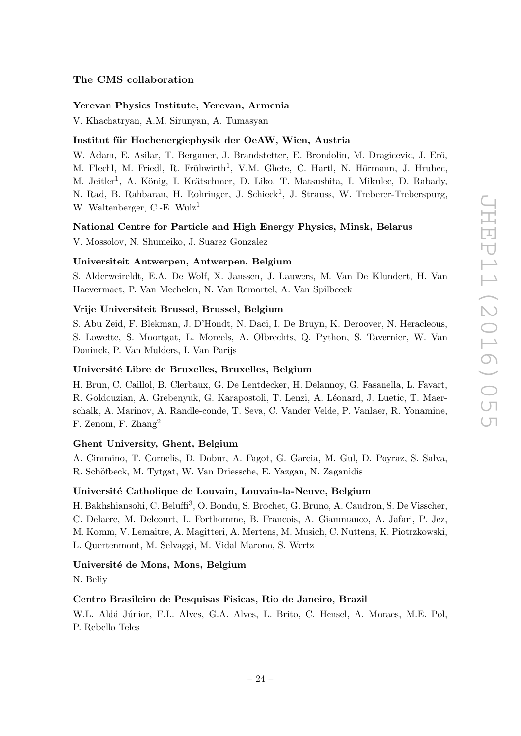# The CMS collaboration

#### <span id="page-24-0"></span>Yerevan Physics Institute, Yerevan, Armenia

V. Khachatryan, A.M. Sirunyan, A. Tumasyan

### Institut für Hochenergiephysik der OeAW, Wien, Austria

W. Adam, E. Asilar, T. Bergauer, J. Brandstetter, E. Brondolin, M. Dragicevic, J. Erö, M. Flechl, M. Friedl, R. Frühwirth<sup>1</sup>, V.M. Ghete, C. Hartl, N. Hörmann, J. Hrubec, M. Jeitler<sup>1</sup>, A. König, I. Krätschmer, D. Liko, T. Matsushita, I. Mikulec, D. Rabady, N. Rad, B. Rahbaran, H. Rohringer, J. Schieck<sup>1</sup>, J. Strauss, W. Treberer-Treberspurg, W. Waltenberger, C.-E. Wulz<sup>1</sup>

#### National Centre for Particle and High Energy Physics, Minsk, Belarus

V. Mossolov, N. Shumeiko, J. Suarez Gonzalez

### Universiteit Antwerpen, Antwerpen, Belgium

S. Alderweireldt, E.A. De Wolf, X. Janssen, J. Lauwers, M. Van De Klundert, H. Van Haevermaet, P. Van Mechelen, N. Van Remortel, A. Van Spilbeeck

#### Vrije Universiteit Brussel, Brussel, Belgium

S. Abu Zeid, F. Blekman, J. D'Hondt, N. Daci, I. De Bruyn, K. Deroover, N. Heracleous, S. Lowette, S. Moortgat, L. Moreels, A. Olbrechts, Q. Python, S. Tavernier, W. Van Doninck, P. Van Mulders, I. Van Parijs

#### Universit´e Libre de Bruxelles, Bruxelles, Belgium

H. Brun, C. Caillol, B. Clerbaux, G. De Lentdecker, H. Delannoy, G. Fasanella, L. Favart, R. Goldouzian, A. Grebenyuk, G. Karapostoli, T. Lenzi, A. Léonard, J. Luetic, T. Maerschalk, A. Marinov, A. Randle-conde, T. Seva, C. Vander Velde, P. Vanlaer, R. Yonamine, F. Zenoni, F. Zhang<sup>2</sup>

### Ghent University, Ghent, Belgium

A. Cimmino, T. Cornelis, D. Dobur, A. Fagot, G. Garcia, M. Gul, D. Poyraz, S. Salva, R. Schöfbeck, M. Tytgat, W. Van Driessche, E. Yazgan, N. Zaganidis

### Université Catholique de Louvain, Louvain-la-Neuve, Belgium

H. Bakhshiansohi, C. Beluffi<sup>3</sup>, O. Bondu, S. Brochet, G. Bruno, A. Caudron, S. De Visscher, C. Delaere, M. Delcourt, L. Forthomme, B. Francois, A. Giammanco, A. Jafari, P. Jez, M. Komm, V. Lemaitre, A. Magitteri, A. Mertens, M. Musich, C. Nuttens, K. Piotrzkowski, L. Quertenmont, M. Selvaggi, M. Vidal Marono, S. Wertz

#### Université de Mons, Mons, Belgium

N. Beliy

### Centro Brasileiro de Pesquisas Fisicas, Rio de Janeiro, Brazil

W.L. Aldá Júnior, F.L. Alves, G.A. Alves, L. Brito, C. Hensel, A. Moraes, M.E. Pol, P. Rebello Teles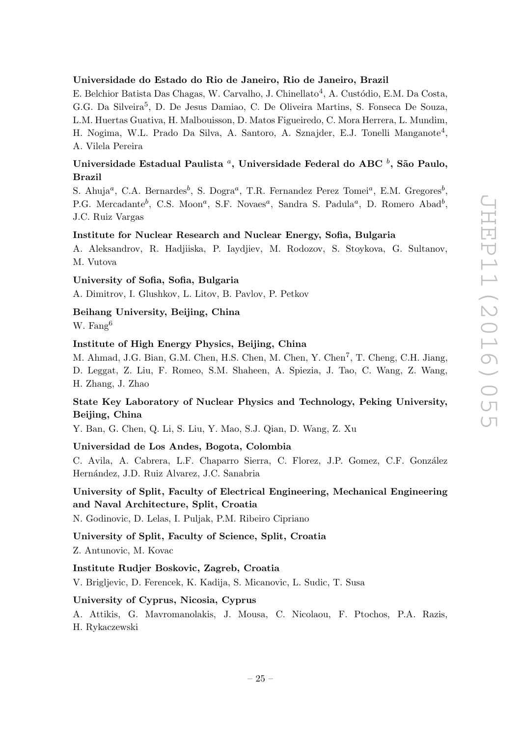#### Universidade do Estado do Rio de Janeiro, Rio de Janeiro, Brazil

E. Belchior Batista Das Chagas, W. Carvalho, J. Chinellato<sup>4</sup>, A. Custódio, E.M. Da Costa, G.G. Da Silveira<sup>5</sup>, D. De Jesus Damiao, C. De Oliveira Martins, S. Fonseca De Souza, L.M. Huertas Guativa, H. Malbouisson, D. Matos Figueiredo, C. Mora Herrera, L. Mundim, H. Nogima, W.L. Prado Da Silva, A. Santoro, A. Sznajder, E.J. Tonelli Manganote<sup>4</sup>, A. Vilela Pereira

# Universidade Estadual Paulista <sup>a</sup>, Universidade Federal do ABC  $^b$ , São Paulo, Brazil

S. Ahuja<sup>a</sup>, C.A. Bernardes<sup>b</sup>, S. Dogra<sup>a</sup>, T.R. Fernandez Perez Tomei<sup>a</sup>, E.M. Gregores<sup>b</sup>, P.G. Mercadante<sup>b</sup>, C.S. Moon<sup>a</sup>, S.F. Novaes<sup>a</sup>, Sandra S. Padula<sup>a</sup>, D. Romero Abad<sup>b</sup>, J.C. Ruiz Vargas

#### Institute for Nuclear Research and Nuclear Energy, Sofia, Bulgaria

A. Aleksandrov, R. Hadjiiska, P. Iaydjiev, M. Rodozov, S. Stoykova, G. Sultanov, M. Vutova

#### University of Sofia, Sofia, Bulgaria

A. Dimitrov, I. Glushkov, L. Litov, B. Pavlov, P. Petkov

# Beihang University, Beijing, China

W. Fang<sup>6</sup>

# Institute of High Energy Physics, Beijing, China

M. Ahmad, J.G. Bian, G.M. Chen, H.S. Chen, M. Chen, Y. Chen<sup>7</sup>, T. Cheng, C.H. Jiang, D. Leggat, Z. Liu, F. Romeo, S.M. Shaheen, A. Spiezia, J. Tao, C. Wang, Z. Wang, H. Zhang, J. Zhao

# State Key Laboratory of Nuclear Physics and Technology, Peking University, Beijing, China

Y. Ban, G. Chen, Q. Li, S. Liu, Y. Mao, S.J. Qian, D. Wang, Z. Xu

#### Universidad de Los Andes, Bogota, Colombia

C. Avila, A. Cabrera, L.F. Chaparro Sierra, C. Florez, J.P. Gomez, C.F. González Hernández, J.D. Ruiz Alvarez, J.C. Sanabria

# University of Split, Faculty of Electrical Engineering, Mechanical Engineering and Naval Architecture, Split, Croatia

N. Godinovic, D. Lelas, I. Puljak, P.M. Ribeiro Cipriano

#### University of Split, Faculty of Science, Split, Croatia

Z. Antunovic, M. Kovac

Institute Rudjer Boskovic, Zagreb, Croatia

V. Brigljevic, D. Ferencek, K. Kadija, S. Micanovic, L. Sudic, T. Susa

#### University of Cyprus, Nicosia, Cyprus

A. Attikis, G. Mavromanolakis, J. Mousa, C. Nicolaou, F. Ptochos, P.A. Razis, H. Rykaczewski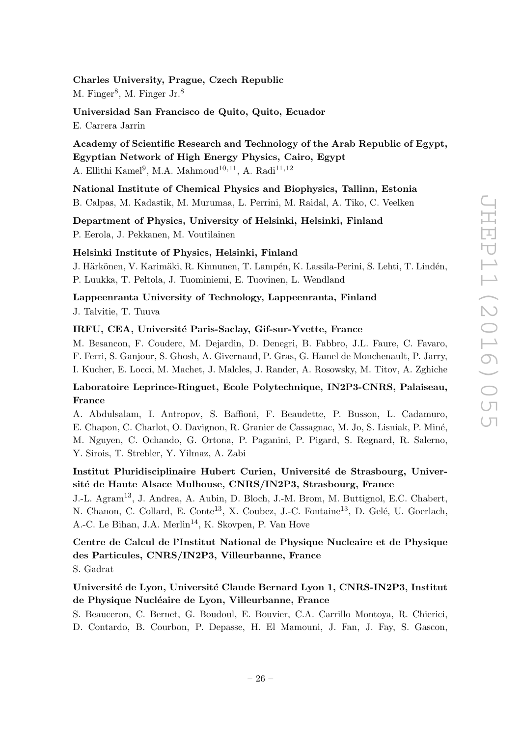# Charles University, Prague, Czech Republic

M. Finger<sup>8</sup>, M. Finger  $Jr.^8$ 

Universidad San Francisco de Quito, Quito, Ecuador E. Carrera Jarrin

Academy of Scientific Research and Technology of the Arab Republic of Egypt, Egyptian Network of High Energy Physics, Cairo, Egypt A. Ellithi Kamel<sup>9</sup>, M.A. Mahmoud<sup>10,11</sup>, A. Radi<sup>11,12</sup>

National Institute of Chemical Physics and Biophysics, Tallinn, Estonia B. Calpas, M. Kadastik, M. Murumaa, L. Perrini, M. Raidal, A. Tiko, C. Veelken

Department of Physics, University of Helsinki, Helsinki, Finland

P. Eerola, J. Pekkanen, M. Voutilainen

### Helsinki Institute of Physics, Helsinki, Finland

J. Härkönen, V. Karimäki, R. Kinnunen, T. Lampén, K. Lassila-Perini, S. Lehti, T. Lindén, P. Luukka, T. Peltola, J. Tuominiemi, E. Tuovinen, L. Wendland

Lappeenranta University of Technology, Lappeenranta, Finland J. Talvitie, T. Tuuva

### IRFU, CEA, Université Paris-Saclay, Gif-sur-Yvette, France

M. Besancon, F. Couderc, M. Dejardin, D. Denegri, B. Fabbro, J.L. Faure, C. Favaro, F. Ferri, S. Ganjour, S. Ghosh, A. Givernaud, P. Gras, G. Hamel de Monchenault, P. Jarry, I. Kucher, E. Locci, M. Machet, J. Malcles, J. Rander, A. Rosowsky, M. Titov, A. Zghiche

# Laboratoire Leprince-Ringuet, Ecole Polytechnique, IN2P3-CNRS, Palaiseau, France

A. Abdulsalam, I. Antropov, S. Baffioni, F. Beaudette, P. Busson, L. Cadamuro, E. Chapon, C. Charlot, O. Davignon, R. Granier de Cassagnac, M. Jo, S. Lisniak, P. Miné, M. Nguyen, C. Ochando, G. Ortona, P. Paganini, P. Pigard, S. Regnard, R. Salerno, Y. Sirois, T. Strebler, Y. Yilmaz, A. Zabi

# Institut Pluridisciplinaire Hubert Curien, Université de Strasbourg, Université de Haute Alsace Mulhouse, CNRS/IN2P3, Strasbourg, France

J.-L. Agram13, J. Andrea, A. Aubin, D. Bloch, J.-M. Brom, M. Buttignol, E.C. Chabert, N. Chanon, C. Collard, E. Conte<sup>13</sup>, X. Coubez, J.-C. Fontaine<sup>13</sup>, D. Gelé, U. Goerlach, A.-C. Le Bihan, J.A. Merlin<sup>14</sup>, K. Skovpen, P. Van Hove

# Centre de Calcul de l'Institut National de Physique Nucleaire et de Physique des Particules, CNRS/IN2P3, Villeurbanne, France S. Gadrat

# Université de Lyon, Université Claude Bernard Lyon 1, CNRS-IN2P3, Institut de Physique Nucléaire de Lyon, Villeurbanne, France

S. Beauceron, C. Bernet, G. Boudoul, E. Bouvier, C.A. Carrillo Montoya, R. Chierici, D. Contardo, B. Courbon, P. Depasse, H. El Mamouni, J. Fan, J. Fay, S. Gascon,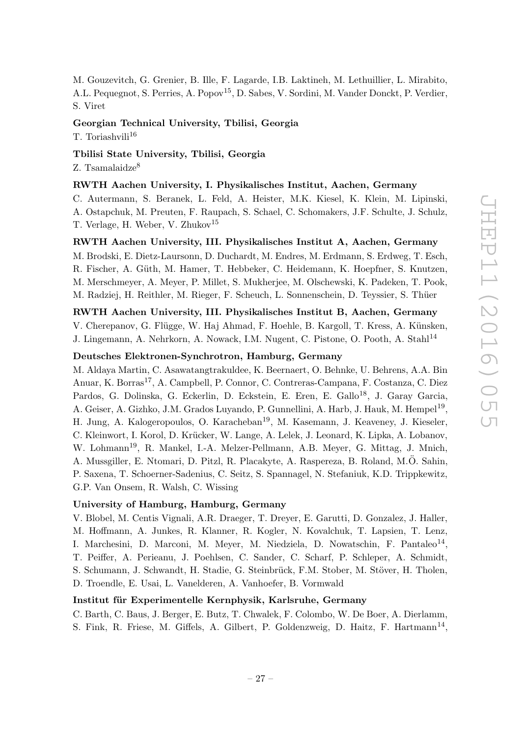M. Gouzevitch, G. Grenier, B. Ille, F. Lagarde, I.B. Laktineh, M. Lethuillier, L. Mirabito, A.L. Pequegnot, S. Perries, A. Popov<sup>15</sup>, D. Sabes, V. Sordini, M. Vander Donckt, P. Verdier. S. Viret

#### Georgian Technical University, Tbilisi, Georgia

T. Toriashvili<sup>16</sup>

### Tbilisi State University, Tbilisi, Georgia

Z. Tsamalaidze<sup>8</sup>

#### RWTH Aachen University, I. Physikalisches Institut, Aachen, Germany

C. Autermann, S. Beranek, L. Feld, A. Heister, M.K. Kiesel, K. Klein, M. Lipinski, A. Ostapchuk, M. Preuten, F. Raupach, S. Schael, C. Schomakers, J.F. Schulte, J. Schulz, T. Verlage, H. Weber, V. Zhukov<sup>15</sup>

#### RWTH Aachen University, III. Physikalisches Institut A, Aachen, Germany

M. Brodski, E. Dietz-Laursonn, D. Duchardt, M. Endres, M. Erdmann, S. Erdweg, T. Esch, R. Fischer, A. Güth, M. Hamer, T. Hebbeker, C. Heidemann, K. Hoepfner, S. Knutzen, M. Merschmeyer, A. Meyer, P. Millet, S. Mukherjee, M. Olschewski, K. Padeken, T. Pook, M. Radziej, H. Reithler, M. Rieger, F. Scheuch, L. Sonnenschein, D. Teyssier, S. Thüer

#### RWTH Aachen University, III. Physikalisches Institut B, Aachen, Germany

V. Cherepanov, G. Flügge, W. Haj Ahmad, F. Hoehle, B. Kargoll, T. Kress, A. Künsken, J. Lingemann, A. Nehrkorn, A. Nowack, I.M. Nugent, C. Pistone, O. Pooth, A. Stahl<sup>14</sup>

# Deutsches Elektronen-Synchrotron, Hamburg, Germany

M. Aldaya Martin, C. Asawatangtrakuldee, K. Beernaert, O. Behnke, U. Behrens, A.A. Bin Anuar, K. Borras<sup>17</sup>, A. Campbell, P. Connor, C. Contreras-Campana, F. Costanza, C. Diez Pardos, G. Dolinska, G. Eckerlin, D. Eckstein, E. Eren, E. Gallo<sup>18</sup>, J. Garay Garcia, A. Geiser, A. Gizhko, J.M. Grados Luyando, P. Gunnellini, A. Harb, J. Hauk, M. Hempel<sup>19</sup>, H. Jung, A. Kalogeropoulos, O. Karacheban19, M. Kasemann, J. Keaveney, J. Kieseler, C. Kleinwort, I. Korol, D. Krücker, W. Lange, A. Lelek, J. Leonard, K. Lipka, A. Lobanov, W. Lohmann19, R. Mankel, I.-A. Melzer-Pellmann, A.B. Meyer, G. Mittag, J. Mnich, A. Mussgiller, E. Ntomari, D. Pitzl, R. Placakyte, A. Raspereza, B. Roland, M.O. Sahin, P. Saxena, T. Schoerner-Sadenius, C. Seitz, S. Spannagel, N. Stefaniuk, K.D. Trippkewitz, G.P. Van Onsem, R. Walsh, C. Wissing

#### University of Hamburg, Hamburg, Germany

V. Blobel, M. Centis Vignali, A.R. Draeger, T. Dreyer, E. Garutti, D. Gonzalez, J. Haller, M. Hoffmann, A. Junkes, R. Klanner, R. Kogler, N. Kovalchuk, T. Lapsien, T. Lenz, I. Marchesini, D. Marconi, M. Meyer, M. Niedziela, D. Nowatschin, F. Pantaleo<sup>14</sup>, T. Peiffer, A. Perieanu, J. Poehlsen, C. Sander, C. Scharf, P. Schleper, A. Schmidt, S. Schumann, J. Schwandt, H. Stadie, G. Steinbrück, F.M. Stober, M. Stöver, H. Tholen, D. Troendle, E. Usai, L. Vanelderen, A. Vanhoefer, B. Vormwald

#### Institut für Experimentelle Kernphysik, Karlsruhe, Germany

C. Barth, C. Baus, J. Berger, E. Butz, T. Chwalek, F. Colombo, W. De Boer, A. Dierlamm, S. Fink, R. Friese, M. Giffels, A. Gilbert, P. Goldenzweig, D. Haitz, F. Hartmann<sup>14</sup>,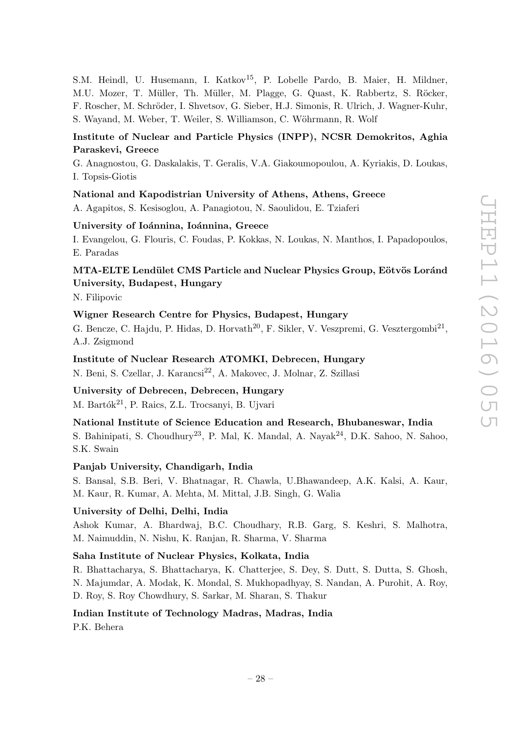S.M. Heindl, U. Husemann, I. Katkov<sup>15</sup>, P. Lobelle Pardo, B. Maier, H. Mildner, M.U. Mozer, T. Müller, Th. Müller, M. Plagge, G. Quast, K. Rabbertz, S. Röcker, F. Roscher, M. Schröder, I. Shvetsov, G. Sieber, H.J. Simonis, R. Ulrich, J. Wagner-Kuhr, S. Wayand, M. Weber, T. Weiler, S. Williamson, C. Wöhrmann, R. Wolf

# Institute of Nuclear and Particle Physics (INPP), NCSR Demokritos, Aghia Paraskevi, Greece

G. Anagnostou, G. Daskalakis, T. Geralis, V.A. Giakoumopoulou, A. Kyriakis, D. Loukas, I. Topsis-Giotis

### National and Kapodistrian University of Athens, Athens, Greece

A. Agapitos, S. Kesisoglou, A. Panagiotou, N. Saoulidou, E. Tziaferi

### University of Ioánnina, Ioánnina, Greece

I. Evangelou, G. Flouris, C. Foudas, P. Kokkas, N. Loukas, N. Manthos, I. Papadopoulos, E. Paradas

# MTA-ELTE Lendület CMS Particle and Nuclear Physics Group, Eötvös Loránd University, Budapest, Hungary

N. Filipovic

# Wigner Research Centre for Physics, Budapest, Hungary

G. Bencze, C. Hajdu, P. Hidas, D. Horvath<sup>20</sup>, F. Sikler, V. Veszpremi, G. Vesztergombi<sup>21</sup>, A.J. Zsigmond

# Institute of Nuclear Research ATOMKI, Debrecen, Hungary

N. Beni, S. Czellar, J. Karancsi<sup>22</sup>, A. Makovec, J. Molnar, Z. Szillasi

# University of Debrecen, Debrecen, Hungary M. Bartók<sup>21</sup>, P. Raics, Z.L. Trocsanyi, B. Ujvari

### National Institute of Science Education and Research, Bhubaneswar, India

S. Bahinipati, S. Choudhury<sup>23</sup>, P. Mal, K. Mandal, A. Nayak<sup>24</sup>, D.K. Sahoo, N. Sahoo, S.K. Swain

### Panjab University, Chandigarh, India

S. Bansal, S.B. Beri, V. Bhatnagar, R. Chawla, U.Bhawandeep, A.K. Kalsi, A. Kaur, M. Kaur, R. Kumar, A. Mehta, M. Mittal, J.B. Singh, G. Walia

### University of Delhi, Delhi, India

Ashok Kumar, A. Bhardwaj, B.C. Choudhary, R.B. Garg, S. Keshri, S. Malhotra, M. Naimuddin, N. Nishu, K. Ranjan, R. Sharma, V. Sharma

#### Saha Institute of Nuclear Physics, Kolkata, India

R. Bhattacharya, S. Bhattacharya, K. Chatterjee, S. Dey, S. Dutt, S. Dutta, S. Ghosh, N. Majumdar, A. Modak, K. Mondal, S. Mukhopadhyay, S. Nandan, A. Purohit, A. Roy, D. Roy, S. Roy Chowdhury, S. Sarkar, M. Sharan, S. Thakur

# Indian Institute of Technology Madras, Madras, India

P.K. Behera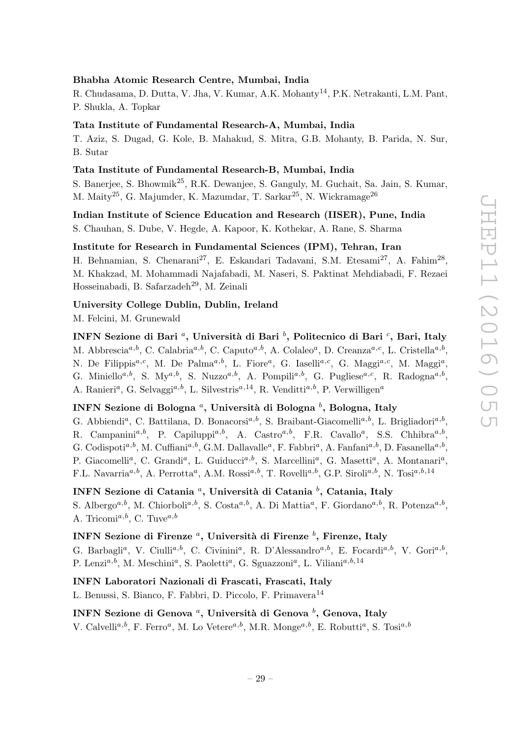#### Bhabha Atomic Research Centre, Mumbai, India

R. Chudasama, D. Dutta, V. Jha, V. Kumar, A.K. Mohanty<sup>14</sup>, P.K. Netrakanti, L.M. Pant, P. Shukla, A. Topkar

#### Tata Institute of Fundamental Research-A, Mumbai, India

T. Aziz, S. Dugad, G. Kole, B. Mahakud, S. Mitra, G.B. Mohanty, B. Parida, N. Sur, B. Sutar

### Tata Institute of Fundamental Research-B, Mumbai, India

S. Banerjee, S. Bhowmik25, R.K. Dewanjee, S. Ganguly, M. Guchait, Sa. Jain, S. Kumar, M. Maity<sup>25</sup>, G. Majumder, K. Mazumdar, T. Sarkar<sup>25</sup>, N. Wickramage<sup>26</sup>

# Indian Institute of Science Education and Research (IISER), Pune, India

S. Chauhan, S. Dube, V. Hegde, A. Kapoor, K. Kothekar, A. Rane, S. Sharma

#### Institute for Research in Fundamental Sciences (IPM), Tehran, Iran

H. Behnamian, S. Chenarani<sup>27</sup>, E. Eskandari Tadavani, S.M. Etesami<sup>27</sup>, A. Fahim<sup>28</sup>, M. Khakzad, M. Mohammadi Najafabadi, M. Naseri, S. Paktinat Mehdiabadi, F. Rezaei Hosseinabadi, B. Safarzadeh<sup>29</sup>, M. Zeinali

### University College Dublin, Dublin, Ireland

M. Felcini, M. Grunewald

# INFN Sezione di Bari <sup>a</sup>, Università di Bari  $^b$ , Politecnico di Bari  $^c$ , Bari, Italy M. Abbrescia<sup>a,b</sup>, C. Calabria<sup>a,b</sup>, C. Caputo<sup>a,b</sup>, A. Colaleo<sup>a</sup>, D. Creanza<sup>a,c</sup>, L. Cristella<sup>a,b</sup>, N. De Filippis<sup>a,c</sup>, M. De Palma<sup>a,b</sup>, L. Fiore<sup>a</sup>, G. Iaselli<sup>a,c</sup>, G. Maggi<sup>a,c</sup>, M. Maggi<sup>a</sup>, G. Miniello<sup>a,b</sup>, S. My<sup>a,b</sup>, S. Nuzzo<sup>a,b</sup>, A. Pompili<sup>a,b</sup>, G. Pugliese<sup>a,c</sup>, R. Radogna<sup>a,b</sup>, A. Ranieri<sup>a</sup>, G. Selvaggi<sup>a,b</sup>, L. Silvestris<sup>a,14</sup>, R. Venditti<sup>a,b</sup>, P. Verwilligen<sup>a</sup>

# INFN Sezione di Bologna <sup>a</sup>, Università di Bologna  $^b,$  Bologna, Italy

G. Abbiendi<sup>a</sup>, C. Battilana, D. Bonacorsi<sup>a,b</sup>, S. Braibant-Giacomelli<sup>a,b</sup>, L. Brigliadori<sup>a,b</sup>, R. Campanini<sup>a,b</sup>, P. Capiluppi<sup>a,b</sup>, A. Castro<sup>a,b</sup>, F.R. Cavallo<sup>a</sup>, S.S. Chhibra<sup>a,b</sup>, G. Codispoti<sup>a,b</sup>, M. Cuffiani<sup>a,b</sup>, G.M. Dallavalle<sup>a</sup>, F. Fabbri<sup>a</sup>, A. Fanfani<sup>a,b</sup>, D. Fasanella<sup>a,b</sup>, P. Giacomelli<sup>a</sup>, C. Grandi<sup>a</sup>, L. Guiducci<sup>a,b</sup>, S. Marcellini<sup>a</sup>, G. Masetti<sup>a</sup>, A. Montanari<sup>a</sup>, F.L. Navarria<sup>a,b</sup>, A. Perrotta<sup>a</sup>, A.M. Rossi<sup>a,b</sup>, T. Rovelli<sup>a,b</sup>, G.P. Siroli<sup>a,b</sup>, N. Tosi<sup>a,b,14</sup>

# INFN Sezione di Catania <sup>a</sup>, Università di Catania  $^b,$  Catania, Italy

S. Albergo<sup>a,b</sup>, M. Chiorboli<sup>a,b</sup>, S. Costa<sup>a,b</sup>, A. Di Mattia<sup>a</sup>, F. Giordano<sup>a,b</sup>, R. Potenza<sup>a,b</sup>, A. Tricomi<sup>a,b</sup>, C. Tuve<sup>a,b</sup>

# INFN Sezione di Firenze  $^a,$  Università di Firenze  $^b,$  Firenze, Italy

G. Barbagli<sup>a</sup>, V. Ciulli<sup>a,b</sup>, C. Civinini<sup>a</sup>, R. D'Alessandro<sup>a,b</sup>, E. Focardi<sup>a,b</sup>, V. Gori<sup>a,b</sup>, P. Lenzi<sup>a,b</sup>, M. Meschini<sup>a</sup>, S. Paoletti<sup>a</sup>, G. Sguazzoni<sup>a</sup>, L. Viliani<sup>a,b,14</sup>

# INFN Laboratori Nazionali di Frascati, Frascati, Italy

L. Benussi, S. Bianco, F. Fabbri, D. Piccolo, F. Primavera<sup>14</sup>

# INFN Sezione di Genova <sup>a</sup>, Università di Genova  $^b,$  Genova, Italy

V. Calvelli<sup>a,b</sup>, F. Ferro<sup>a</sup>, M. Lo Vetere<sup>a,b</sup>, M.R. Monge<sup>a,b</sup>, E. Robutti<sup>a</sup>, S. Tosi<sup>a,b</sup>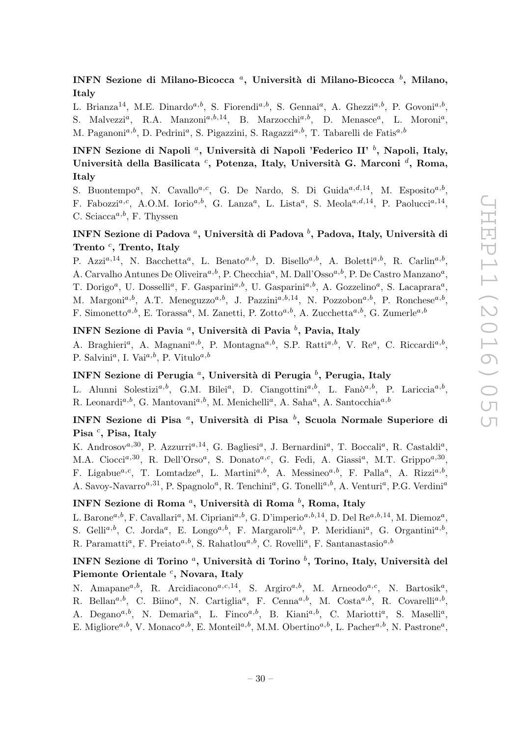# INFN Sezione di Milano-Bicocca <sup>a</sup>, Università di Milano-Bicocca <sup>b</sup>, Milano, Italy

L. Brianza<sup>14</sup>, M.E. Dinardo<sup>a,b</sup>, S. Fiorendi<sup>a,b</sup>, S. Gennai<sup>a</sup>, A. Ghezzi<sup>a,b</sup>, P. Govoni<sup>a,b</sup>, S. Malvezzi<sup>a</sup>, R.A. Manzoni<sup>a,b,14</sup>, B. Marzocchi<sup>a,b</sup>, D. Menasce<sup>a</sup>, L. Moroni<sup>a</sup>, M. Paganoni<sup>a,b</sup>, D. Pedrini<sup>a</sup>, S. Pigazzini, S. Ragazzi<sup>a,b</sup>, T. Tabarelli de Fatis<sup>a,b</sup>

# INFN Sezione di Napoli <sup>a</sup>, Università di Napoli 'Federico II'  $^b$ , Napoli, Italy, Università della Basilicata  $^c$ , Potenza, Italy, Università G. Marconi  $^d$ , Roma, Italy

S. Buontempo<sup>a</sup>, N. Cavallo<sup>a,c</sup>, G. De Nardo, S. Di Guida<sup>a,d,14</sup>, M. Esposito<sup>a,b</sup>, F. Fabozzi<sup>a,c</sup>, A.O.M. Iorio<sup>a,b</sup>, G. Lanza<sup>a</sup>, L. Lista<sup>a</sup>, S. Meola<sup>a,d,14</sup>, P. Paolucci<sup>a,14</sup>, C. Sciacca<sup> $a,b$ </sup>, F. Thyssen

# INFN Sezione di Padova <sup>a</sup>, Università di Padova  $^b$ , Padova, Italy, Università di Trento  $^c$ , Trento, Italy

P. Azzi<sup>a,14</sup>, N. Bacchetta<sup>a</sup>, L. Benato<sup>a,b</sup>, D. Bisello<sup>a,b</sup>, A. Boletti<sup>a,b</sup>, R. Carlin<sup>a,b</sup>, A. Carvalho Antunes De Oliveira<sup>a,b</sup>, P. Checchia<sup>a</sup>, M. Dall'Osso<sup>a,b</sup>, P. De Castro Manzano<sup>a</sup>, T. Dorigo<sup>a</sup>, U. Dosselli<sup>a</sup>, F. Gasparini<sup>a,b</sup>, U. Gasparini<sup>a,b</sup>, A. Gozzelino<sup>a</sup>, S. Lacaprara<sup>a</sup>, M. Margoni<sup>a,b</sup>, A.T. Meneguzzo<sup>a,b</sup>, J. Pazzini<sup>a,b,14</sup>, N. Pozzobon<sup>a,b</sup>, P. Ronchese<sup>a,b</sup>, F. Simonetto<sup>a,b</sup>, E. Torassa<sup>a</sup>, M. Zanetti, P. Zotto<sup>a,b</sup>, A. Zucchetta<sup>a,b</sup>, G. Zumerle<sup>a,b</sup>

# INFN Sezione di Pavia  $^a,$  Università di Pavia  $^b,$  Pavia, Italy

A. Braghieri<sup>a</sup>, A. Magnani<sup>a,b</sup>, P. Montagna<sup>a,b</sup>, S.P. Ratti<sup>a,b</sup>, V. Re<sup>a</sup>, C. Riccardi<sup>a,b</sup>, P. Salvini<sup>a</sup>, I. Vai<sup> $a,b$ </sup>, P. Vitulo $a,b$ 

# INFN Sezione di Perugia <sup>a</sup>, Università di Perugia  $^b$ , Perugia, Italy

L. Alunni Solestizi<sup>a,b</sup>, G.M. Bilei<sup>a</sup>, D. Ciangottini<sup>a,b</sup>, L. Fanò<sup>a,b</sup>, P. Lariccia<sup>a,b</sup>, R. Leonardi<sup>a, b</sup>, G. Mantovani<sup>a, b</sup>, M. Menichelli<sup>a</sup>, A. Saha<sup>a</sup>, A. Santocchia<sup>a, b</sup>

# INFN Sezione di Pisa <sup>a</sup>, Università di Pisa <sup>b</sup>, Scuola Normale Superiore di Pisa <sup>c</sup>, Pisa, Italy

K. Androsov<sup>a, 30</sup>, P. Azzurri<sup>a, 14</sup>, G. Bagliesi<sup>a</sup>, J. Bernardini<sup>a</sup>, T. Boccali<sup>a</sup>, R. Castaldi<sup>a</sup>, M.A. Ciocci<sup>a,30</sup>, R. Dell'Orso<sup>a</sup>, S. Donato<sup>a,c</sup>, G. Fedi, A. Giassi<sup>a</sup>, M.T. Grippo<sup>a,30</sup>, F. Ligabue<sup>a,c</sup>, T. Lomtadze<sup>a</sup>, L. Martini<sup>a,b</sup>, A. Messineo<sup>a,b</sup>, F. Palla<sup>a</sup>, A. Rizzi<sup>a,b</sup>, A. Savoy-Navarro<sup>a,31</sup>, P. Spagnolo<sup>a</sup>, R. Tenchini<sup>a</sup>, G. Tonelli<sup>a,b</sup>, A. Venturi<sup>a</sup>, P.G. Verdini<sup>a</sup>

# INFN Sezione di Roma  $^a,$  Università di Roma  $^b,$  Roma, Italy

L. Barone<sup>a, b</sup>, F. Cavallari<sup>a</sup>, M. Cipriani<sup>a, b</sup>, G. D'imperio<sup>a, b, 14</sup>, D. Del Re<sup>a, b, 14</sup>, M. Diemoz<sup>a</sup>, S. Gelli<sup>a,b</sup>, C. Jorda<sup>a</sup>, E. Longo<sup>a,b</sup>, F. Margaroli<sup>a,b</sup>, P. Meridiani<sup>a</sup>, G. Organtini<sup>a,b</sup>, R. Paramatti<sup>a</sup>, F. Preiato<sup>a,b</sup>, S. Rahatlou<sup>a,b</sup>, C. Rovelli<sup>a</sup>, F. Santanastasio<sup>a,b</sup>

# INFN Sezione di Torino <sup>a</sup>, Università di Torino  $^b,$  Torino, Italy, Università del Piemonte Orientale  $^c$ , Novara, Italy

N. Amapane<sup>a,b</sup>, R. Arcidiacono<sup>a,c,14</sup>, S. Argiro<sup>a,b</sup>, M. Arneodo<sup>a,c</sup>, N. Bartosik<sup>a</sup>, R. Bellan<sup>a,b</sup>, C. Biino<sup>a</sup>, N. Cartiglia<sup>a</sup>, F. Cenna<sup>a,b</sup>, M. Costa<sup>a,b</sup>, R. Covarelli<sup>a,b</sup>, A. Degano<sup>a,b</sup>, N. Demaria<sup>a</sup>, L. Finco<sup>a,b</sup>, B. Kiani<sup>a,b</sup>, C. Mariotti<sup>a</sup>, S. Maselli<sup>a</sup>, E. Migliore<sup>a,b</sup>, V. Monaco<sup>a,b</sup>, E. Monteil<sup>a,b</sup>, M.M. Obertino<sup>a,b</sup>, L. Pacher<sup>a,b</sup>, N. Pastrone<sup>a</sup>,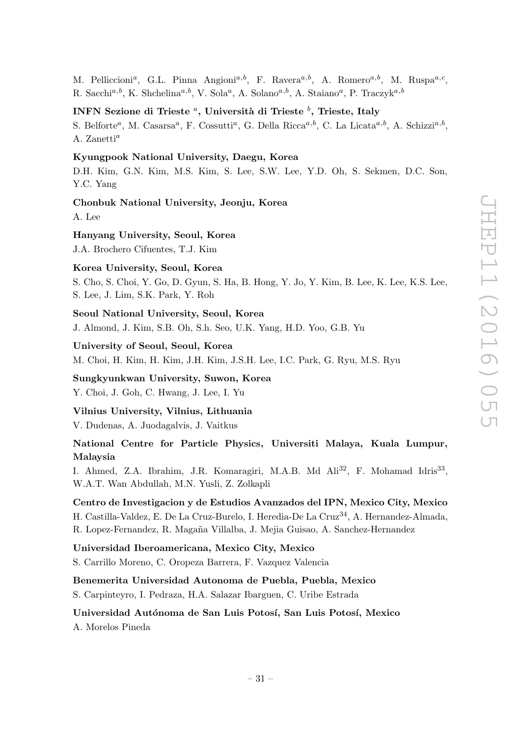M. Pelliccioni<sup>a</sup>, G.L. Pinna Angioni<sup>a,b</sup>, F. Ravera<sup>a,b</sup>, A. Romero<sup>a,b</sup>, M. Ruspa<sup>a,c</sup>, R. Sacchi<sup>a,b</sup>, K. Shchelina<sup>a,b</sup>, V. Sola<sup>a</sup>, A. Solano<sup>a,b</sup>, A. Staiano<sup>a</sup>, P. Traczyk<sup>a,b</sup>

# INFN Sezione di Trieste <sup>a</sup>, Università di Trieste  $^b$ , Trieste, Italy

S. Belforte<sup>a</sup>, M. Casarsa<sup>a</sup>, F. Cossutti<sup>a</sup>, G. Della Ricca<sup>a,b</sup>, C. La Licata<sup>a,b</sup>, A. Schizzi<sup>a,b</sup>, A. Zanetti<sup>a</sup>

### Kyungpook National University, Daegu, Korea

D.H. Kim, G.N. Kim, M.S. Kim, S. Lee, S.W. Lee, Y.D. Oh, S. Sekmen, D.C. Son, Y.C. Yang

#### Chonbuk National University, Jeonju, Korea

A. Lee

### Hanyang University, Seoul, Korea

J.A. Brochero Cifuentes, T.J. Kim

### Korea University, Seoul, Korea

S. Cho, S. Choi, Y. Go, D. Gyun, S. Ha, B. Hong, Y. Jo, Y. Kim, B. Lee, K. Lee, K.S. Lee, S. Lee, J. Lim, S.K. Park, Y. Roh

#### Seoul National University, Seoul, Korea

J. Almond, J. Kim, S.B. Oh, S.h. Seo, U.K. Yang, H.D. Yoo, G.B. Yu

### University of Seoul, Seoul, Korea

M. Choi, H. Kim, H. Kim, J.H. Kim, J.S.H. Lee, I.C. Park, G. Ryu, M.S. Ryu

### Sungkyunkwan University, Suwon, Korea

Y. Choi, J. Goh, C. Hwang, J. Lee, I. Yu

#### Vilnius University, Vilnius, Lithuania

V. Dudenas, A. Juodagalvis, J. Vaitkus

# National Centre for Particle Physics, Universiti Malaya, Kuala Lumpur, Malaysia

I. Ahmed, Z.A. Ibrahim, J.R. Komaragiri, M.A.B. Md Ali<sup>32</sup>, F. Mohamad Idris<sup>33</sup>, W.A.T. Wan Abdullah, M.N. Yusli, Z. Zolkapli

### Centro de Investigacion y de Estudios Avanzados del IPN, Mexico City, Mexico

H. Castilla-Valdez, E. De La Cruz-Burelo, I. Heredia-De La Cruz<sup>34</sup>, A. Hernandez-Almada, R. Lopez-Fernandez, R. Magaña Villalba, J. Mejia Guisao, A. Sanchez-Hernandez

# Universidad Iberoamericana, Mexico City, Mexico

S. Carrillo Moreno, C. Oropeza Barrera, F. Vazquez Valencia

#### Benemerita Universidad Autonoma de Puebla, Puebla, Mexico

S. Carpinteyro, I. Pedraza, H.A. Salazar Ibarguen, C. Uribe Estrada

#### Universidad Autónoma de San Luis Potosí, San Luis Potosí, Mexico

A. Morelos Pineda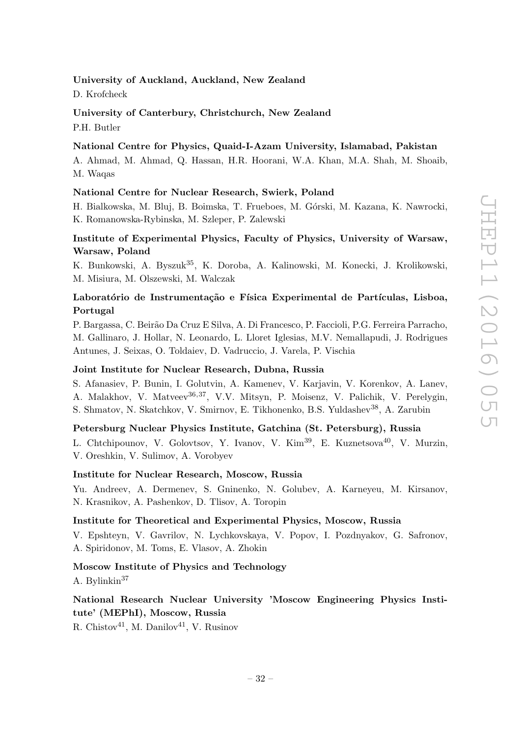### University of Auckland, Auckland, New Zealand

D. Krofcheck

University of Canterbury, Christchurch, New Zealand P.H. Butler

#### National Centre for Physics, Quaid-I-Azam University, Islamabad, Pakistan

A. Ahmad, M. Ahmad, Q. Hassan, H.R. Hoorani, W.A. Khan, M.A. Shah, M. Shoaib, M. Waqas

#### National Centre for Nuclear Research, Swierk, Poland

H. Bialkowska, M. Bluj, B. Boimska, T. Frueboes, M. Górski, M. Kazana, K. Nawrocki, K. Romanowska-Rybinska, M. Szleper, P. Zalewski

# Institute of Experimental Physics, Faculty of Physics, University of Warsaw, Warsaw, Poland

K. Bunkowski, A. Byszuk35, K. Doroba, A. Kalinowski, M. Konecki, J. Krolikowski, M. Misiura, M. Olszewski, M. Walczak

# Laboratório de Instrumentação e Física Experimental de Partículas, Lisboa, Portugal

P. Bargassa, C. Beirão Da Cruz E Silva, A. Di Francesco, P. Faccioli, P.G. Ferreira Parracho, M. Gallinaro, J. Hollar, N. Leonardo, L. Lloret Iglesias, M.V. Nemallapudi, J. Rodrigues Antunes, J. Seixas, O. Toldaiev, D. Vadruccio, J. Varela, P. Vischia

### Joint Institute for Nuclear Research, Dubna, Russia

S. Afanasiev, P. Bunin, I. Golutvin, A. Kamenev, V. Karjavin, V. Korenkov, A. Lanev, A. Malakhov, V. Matveev<sup>36,37</sup>, V.V. Mitsyn, P. Moisenz, V. Palichik, V. Perelygin, S. Shmatov, N. Skatchkov, V. Smirnov, E. Tikhonenko, B.S. Yuldashev<sup>38</sup>, A. Zarubin

# Petersburg Nuclear Physics Institute, Gatchina (St. Petersburg), Russia

L. Chtchipounov, V. Golovtsov, Y. Ivanov, V. Kim<sup>39</sup>, E. Kuznetsova<sup>40</sup>, V. Murzin, V. Oreshkin, V. Sulimov, A. Vorobyev

## Institute for Nuclear Research, Moscow, Russia

Yu. Andreev, A. Dermenev, S. Gninenko, N. Golubev, A. Karneyeu, M. Kirsanov, N. Krasnikov, A. Pashenkov, D. Tlisov, A. Toropin

#### Institute for Theoretical and Experimental Physics, Moscow, Russia

V. Epshteyn, V. Gavrilov, N. Lychkovskaya, V. Popov, I. Pozdnyakov, G. Safronov, A. Spiridonov, M. Toms, E. Vlasov, A. Zhokin

#### Moscow Institute of Physics and Technology

A. Bylinkin<sup>37</sup>

# National Research Nuclear University 'Moscow Engineering Physics Institute' (MEPhI), Moscow, Russia

R. Chistov<sup>41</sup>, M. Danilov<sup>41</sup>, V. Rusinov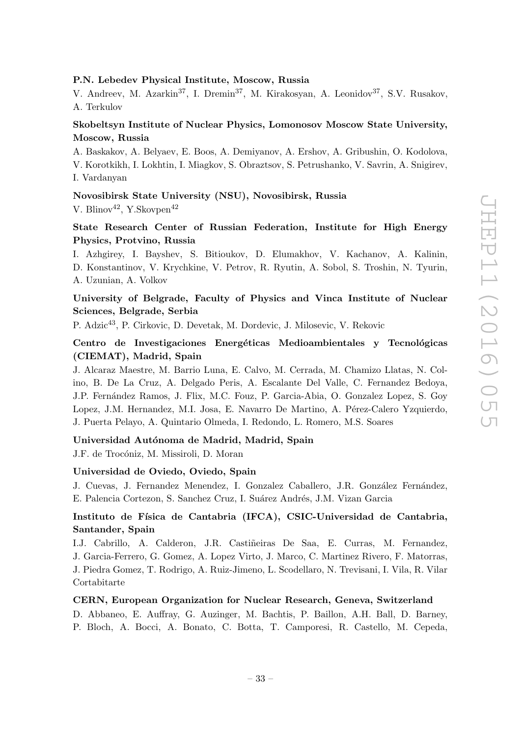### P.N. Lebedev Physical Institute, Moscow, Russia

V. Andreev, M. Azarkin<sup>37</sup>, I. Dremin<sup>37</sup>, M. Kirakosyan, A. Leonidov<sup>37</sup>, S.V. Rusakov, A. Terkulov

# Skobeltsyn Institute of Nuclear Physics, Lomonosov Moscow State University, Moscow, Russia

A. Baskakov, A. Belyaev, E. Boos, A. Demiyanov, A. Ershov, A. Gribushin, O. Kodolova,

V. Korotkikh, I. Lokhtin, I. Miagkov, S. Obraztsov, S. Petrushanko, V. Savrin, A. Snigirev, I. Vardanyan

# Novosibirsk State University (NSU), Novosibirsk, Russia

V. Blinov<sup>42</sup>, Y.Skovpen<sup>42</sup>

# State Research Center of Russian Federation, Institute for High Energy Physics, Protvino, Russia

I. Azhgirey, I. Bayshev, S. Bitioukov, D. Elumakhov, V. Kachanov, A. Kalinin, D. Konstantinov, V. Krychkine, V. Petrov, R. Ryutin, A. Sobol, S. Troshin, N. Tyurin, A. Uzunian, A. Volkov

# University of Belgrade, Faculty of Physics and Vinca Institute of Nuclear Sciences, Belgrade, Serbia

P. Adzic<sup>43</sup>, P. Cirkovic, D. Devetak, M. Dordevic, J. Milosevic, V. Rekovic

# Centro de Investigaciones Energéticas Medioambientales y Tecnológicas (CIEMAT), Madrid, Spain

J. Alcaraz Maestre, M. Barrio Luna, E. Calvo, M. Cerrada, M. Chamizo Llatas, N. Colino, B. De La Cruz, A. Delgado Peris, A. Escalante Del Valle, C. Fernandez Bedoya, J.P. Fern´andez Ramos, J. Flix, M.C. Fouz, P. Garcia-Abia, O. Gonzalez Lopez, S. Goy Lopez, J.M. Hernandez, M.I. Josa, E. Navarro De Martino, A. Pérez-Calero Yzquierdo, J. Puerta Pelayo, A. Quintario Olmeda, I. Redondo, L. Romero, M.S. Soares

Universidad Autónoma de Madrid, Madrid, Spain

J.F. de Trocóniz, M. Missiroli, D. Moran

### Universidad de Oviedo, Oviedo, Spain

J. Cuevas, J. Fernandez Menendez, I. Gonzalez Caballero, J.R. González Fernández, E. Palencia Cortezon, S. Sanchez Cruz, I. Suárez Andrés, J.M. Vizan Garcia

# Instituto de Física de Cantabria (IFCA), CSIC-Universidad de Cantabria, Santander, Spain

I.J. Cabrillo, A. Calderon, J.R. Castiñeiras De Saa, E. Curras, M. Fernandez, J. Garcia-Ferrero, G. Gomez, A. Lopez Virto, J. Marco, C. Martinez Rivero, F. Matorras, J. Piedra Gomez, T. Rodrigo, A. Ruiz-Jimeno, L. Scodellaro, N. Trevisani, I. Vila, R. Vilar Cortabitarte

#### CERN, European Organization for Nuclear Research, Geneva, Switzerland

D. Abbaneo, E. Auffray, G. Auzinger, M. Bachtis, P. Baillon, A.H. Ball, D. Barney, P. Bloch, A. Bocci, A. Bonato, C. Botta, T. Camporesi, R. Castello, M. Cepeda,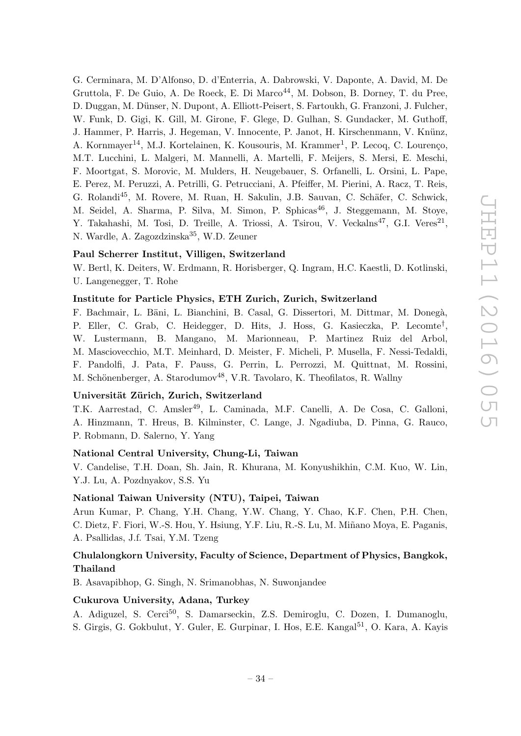G. Cerminara, M. D'Alfonso, D. d'Enterria, A. Dabrowski, V. Daponte, A. David, M. De Gruttola, F. De Guio, A. De Roeck, E. Di Marco<sup>44</sup>, M. Dobson, B. Dorney, T. du Pree, D. Duggan, M. Dünser, N. Dupont, A. Elliott-Peisert, S. Fartoukh, G. Franzoni, J. Fulcher, W. Funk, D. Gigi, K. Gill, M. Girone, F. Glege, D. Gulhan, S. Gundacker, M. Guthoff, J. Hammer, P. Harris, J. Hegeman, V. Innocente, P. Janot, H. Kirschenmann, V. Knünz, A. Kornmayer<sup>14</sup>, M.J. Kortelainen, K. Kousouris, M. Krammer<sup>1</sup>, P. Lecoq, C. Lourenço, M.T. Lucchini, L. Malgeri, M. Mannelli, A. Martelli, F. Meijers, S. Mersi, E. Meschi, F. Moortgat, S. Morovic, M. Mulders, H. Neugebauer, S. Orfanelli, L. Orsini, L. Pape, E. Perez, M. Peruzzi, A. Petrilli, G. Petrucciani, A. Pfeiffer, M. Pierini, A. Racz, T. Reis, G. Rolandi<sup>45</sup>, M. Rovere, M. Ruan, H. Sakulin, J.B. Sauvan, C. Schäfer, C. Schwick, M. Seidel, A. Sharma, P. Silva, M. Simon, P. Sphicas<sup>46</sup>, J. Steggemann, M. Stoye, Y. Takahashi, M. Tosi, D. Treille, A. Triossi, A. Tsirou, V. Veckalns<sup>47</sup>, G.I. Veres<sup>21</sup>, N. Wardle, A. Zagozdzinska35, W.D. Zeuner

### Paul Scherrer Institut, Villigen, Switzerland

W. Bertl, K. Deiters, W. Erdmann, R. Horisberger, Q. Ingram, H.C. Kaestli, D. Kotlinski, U. Langenegger, T. Rohe

#### Institute for Particle Physics, ETH Zurich, Zurich, Switzerland

F. Bachmair, L. Bäni, L. Bianchini, B. Casal, G. Dissertori, M. Dittmar, M. Donegà, P. Eller, C. Grab, C. Heidegger, D. Hits, J. Hoss, G. Kasieczka, P. Lecomte† , W. Lustermann, B. Mangano, M. Marionneau, P. Martinez Ruiz del Arbol, M. Masciovecchio, M.T. Meinhard, D. Meister, F. Micheli, P. Musella, F. Nessi-Tedaldi, F. Pandolfi, J. Pata, F. Pauss, G. Perrin, L. Perrozzi, M. Quittnat, M. Rossini, M. Schönenberger, A. Starodumov<sup>48</sup>, V.R. Tavolaro, K. Theofilatos, R. Wallny

### Universität Zürich, Zurich, Switzerland

T.K. Aarrestad, C. Amsler<sup>49</sup>, L. Caminada, M.F. Canelli, A. De Cosa, C. Galloni, A. Hinzmann, T. Hreus, B. Kilminster, C. Lange, J. Ngadiuba, D. Pinna, G. Rauco, P. Robmann, D. Salerno, Y. Yang

## National Central University, Chung-Li, Taiwan

V. Candelise, T.H. Doan, Sh. Jain, R. Khurana, M. Konyushikhin, C.M. Kuo, W. Lin, Y.J. Lu, A. Pozdnyakov, S.S. Yu

#### National Taiwan University (NTU), Taipei, Taiwan

Arun Kumar, P. Chang, Y.H. Chang, Y.W. Chang, Y. Chao, K.F. Chen, P.H. Chen, C. Dietz, F. Fiori, W.-S. Hou, Y. Hsiung, Y.F. Liu, R.-S. Lu, M. Miñano Moya, E. Paganis, A. Psallidas, J.f. Tsai, Y.M. Tzeng

# Chulalongkorn University, Faculty of Science, Department of Physics, Bangkok, Thailand

B. Asavapibhop, G. Singh, N. Srimanobhas, N. Suwonjandee

### Cukurova University, Adana, Turkey

A. Adiguzel, S. Cerci50, S. Damarseckin, Z.S. Demiroglu, C. Dozen, I. Dumanoglu, S. Girgis, G. Gokbulut, Y. Guler, E. Gurpinar, I. Hos, E.E. Kangal<sup>51</sup>, O. Kara, A. Kavis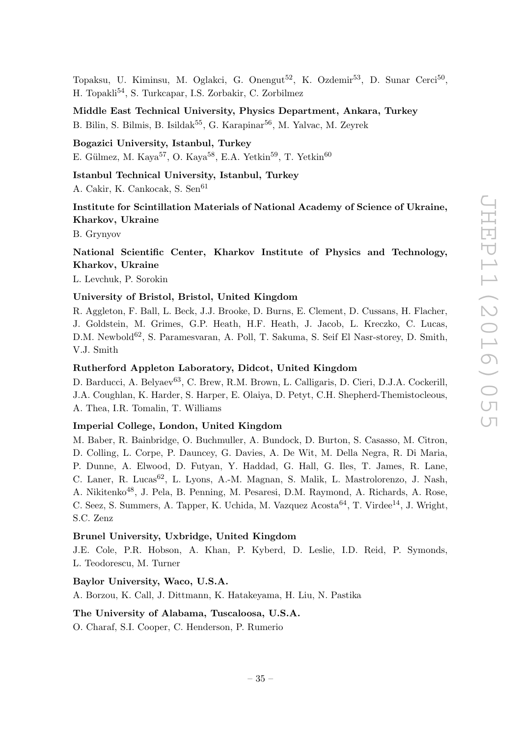Topaksu, U. Kiminsu, M. Oglakci, G. Onengut<sup>52</sup>, K. Ozdemir<sup>53</sup>, D. Sunar Cerci<sup>50</sup>, H. Topakli54, S. Turkcapar, I.S. Zorbakir, C. Zorbilmez

# Middle East Technical University, Physics Department, Ankara, Turkey

B. Bilin, S. Bilmis, B. Isildak55, G. Karapinar56, M. Yalvac, M. Zeyrek

Bogazici University, Istanbul, Turkey E. Gülmez, M. Kaya<sup>57</sup>, O. Kaya<sup>58</sup>, E.A. Yetkin<sup>59</sup>, T. Yetkin<sup>60</sup>

# Istanbul Technical University, Istanbul, Turkey

A. Cakir, K. Cankocak, S. Sen<sup>61</sup>

# Institute for Scintillation Materials of National Academy of Science of Ukraine, Kharkov, Ukraine

B. Grynyov

# National Scientific Center, Kharkov Institute of Physics and Technology, Kharkov, Ukraine

L. Levchuk, P. Sorokin

### University of Bristol, Bristol, United Kingdom

R. Aggleton, F. Ball, L. Beck, J.J. Brooke, D. Burns, E. Clement, D. Cussans, H. Flacher, J. Goldstein, M. Grimes, G.P. Heath, H.F. Heath, J. Jacob, L. Kreczko, C. Lucas, D.M. Newbold<sup>62</sup>, S. Paramesvaran, A. Poll, T. Sakuma, S. Seif El Nasr-storey, D. Smith, V.J. Smith

# Rutherford Appleton Laboratory, Didcot, United Kingdom

D. Barducci, A. Belyaev<sup>63</sup>, C. Brew, R.M. Brown, L. Calligaris, D. Cieri, D.J.A. Cockerill, J.A. Coughlan, K. Harder, S. Harper, E. Olaiya, D. Petyt, C.H. Shepherd-Themistocleous, A. Thea, I.R. Tomalin, T. Williams

### Imperial College, London, United Kingdom

M. Baber, R. Bainbridge, O. Buchmuller, A. Bundock, D. Burton, S. Casasso, M. Citron, D. Colling, L. Corpe, P. Dauncey, G. Davies, A. De Wit, M. Della Negra, R. Di Maria, P. Dunne, A. Elwood, D. Futyan, Y. Haddad, G. Hall, G. Iles, T. James, R. Lane, C. Laner, R. Lucas<sup>62</sup>, L. Lyons, A.-M. Magnan, S. Malik, L. Mastrolorenzo, J. Nash, A. Nikitenko<sup>48</sup>, J. Pela, B. Penning, M. Pesaresi, D.M. Raymond, A. Richards, A. Rose, C. Seez, S. Summers, A. Tapper, K. Uchida, M. Vazquez Acosta<sup>64</sup>, T. Virdee<sup>14</sup>, J. Wright, S.C. Zenz

#### Brunel University, Uxbridge, United Kingdom

J.E. Cole, P.R. Hobson, A. Khan, P. Kyberd, D. Leslie, I.D. Reid, P. Symonds, L. Teodorescu, M. Turner

# Baylor University, Waco, U.S.A.

A. Borzou, K. Call, J. Dittmann, K. Hatakeyama, H. Liu, N. Pastika

#### The University of Alabama, Tuscaloosa, U.S.A.

O. Charaf, S.I. Cooper, C. Henderson, P. Rumerio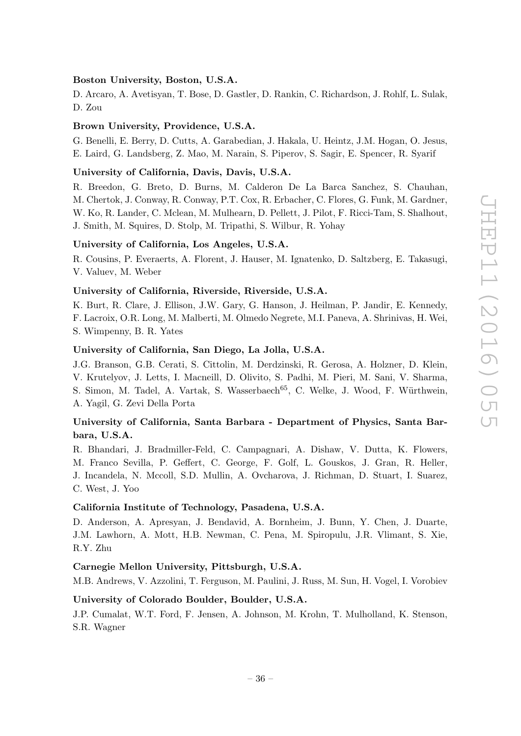### Boston University, Boston, U.S.A.

D. Arcaro, A. Avetisyan, T. Bose, D. Gastler, D. Rankin, C. Richardson, J. Rohlf, L. Sulak, D. Zou

#### Brown University, Providence, U.S.A.

G. Benelli, E. Berry, D. Cutts, A. Garabedian, J. Hakala, U. Heintz, J.M. Hogan, O. Jesus, E. Laird, G. Landsberg, Z. Mao, M. Narain, S. Piperov, S. Sagir, E. Spencer, R. Syarif

### University of California, Davis, Davis, U.S.A.

R. Breedon, G. Breto, D. Burns, M. Calderon De La Barca Sanchez, S. Chauhan, M. Chertok, J. Conway, R. Conway, P.T. Cox, R. Erbacher, C. Flores, G. Funk, M. Gardner, W. Ko, R. Lander, C. Mclean, M. Mulhearn, D. Pellett, J. Pilot, F. Ricci-Tam, S. Shalhout, J. Smith, M. Squires, D. Stolp, M. Tripathi, S. Wilbur, R. Yohay

## University of California, Los Angeles, U.S.A.

R. Cousins, P. Everaerts, A. Florent, J. Hauser, M. Ignatenko, D. Saltzberg, E. Takasugi, V. Valuev, M. Weber

### University of California, Riverside, Riverside, U.S.A.

K. Burt, R. Clare, J. Ellison, J.W. Gary, G. Hanson, J. Heilman, P. Jandir, E. Kennedy, F. Lacroix, O.R. Long, M. Malberti, M. Olmedo Negrete, M.I. Paneva, A. Shrinivas, H. Wei, S. Wimpenny, B. R. Yates

### University of California, San Diego, La Jolla, U.S.A.

J.G. Branson, G.B. Cerati, S. Cittolin, M. Derdzinski, R. Gerosa, A. Holzner, D. Klein, V. Krutelyov, J. Letts, I. Macneill, D. Olivito, S. Padhi, M. Pieri, M. Sani, V. Sharma, S. Simon, M. Tadel, A. Vartak, S. Wasserbaech<sup>65</sup>, C. Welke, J. Wood, F. Würthwein, A. Yagil, G. Zevi Della Porta

# University of California, Santa Barbara - Department of Physics, Santa Barbara, U.S.A.

R. Bhandari, J. Bradmiller-Feld, C. Campagnari, A. Dishaw, V. Dutta, K. Flowers, M. Franco Sevilla, P. Geffert, C. George, F. Golf, L. Gouskos, J. Gran, R. Heller, J. Incandela, N. Mccoll, S.D. Mullin, A. Ovcharova, J. Richman, D. Stuart, I. Suarez, C. West, J. Yoo

### California Institute of Technology, Pasadena, U.S.A.

D. Anderson, A. Apresyan, J. Bendavid, A. Bornheim, J. Bunn, Y. Chen, J. Duarte, J.M. Lawhorn, A. Mott, H.B. Newman, C. Pena, M. Spiropulu, J.R. Vlimant, S. Xie, R.Y. Zhu

#### Carnegie Mellon University, Pittsburgh, U.S.A.

M.B. Andrews, V. Azzolini, T. Ferguson, M. Paulini, J. Russ, M. Sun, H. Vogel, I. Vorobiev

# University of Colorado Boulder, Boulder, U.S.A.

J.P. Cumalat, W.T. Ford, F. Jensen, A. Johnson, M. Krohn, T. Mulholland, K. Stenson, S.R. Wagner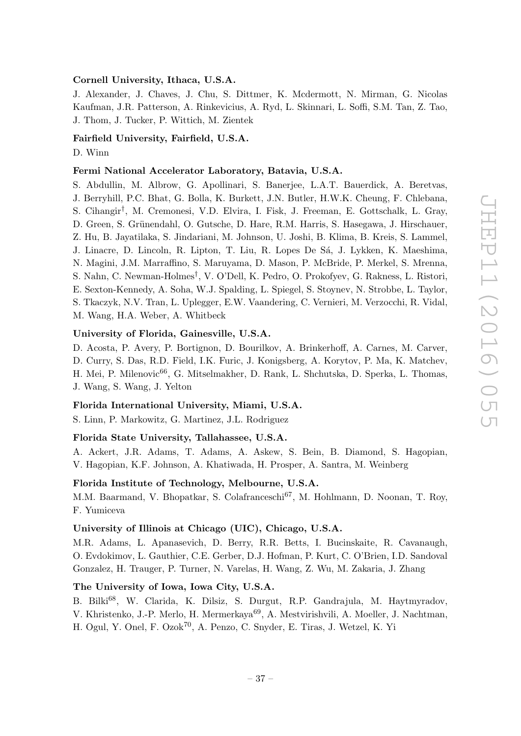#### Cornell University, Ithaca, U.S.A.

J. Alexander, J. Chaves, J. Chu, S. Dittmer, K. Mcdermott, N. Mirman, G. Nicolas Kaufman, J.R. Patterson, A. Rinkevicius, A. Ryd, L. Skinnari, L. Soffi, S.M. Tan, Z. Tao, J. Thom, J. Tucker, P. Wittich, M. Zientek

#### Fairfield University, Fairfield, U.S.A.

D. Winn

#### Fermi National Accelerator Laboratory, Batavia, U.S.A.

S. Abdullin, M. Albrow, G. Apollinari, S. Banerjee, L.A.T. Bauerdick, A. Beretvas, J. Berryhill, P.C. Bhat, G. Bolla, K. Burkett, J.N. Butler, H.W.K. Cheung, F. Chlebana, S. Cihangir† , M. Cremonesi, V.D. Elvira, I. Fisk, J. Freeman, E. Gottschalk, L. Gray, D. Green, S. Grünendahl, O. Gutsche, D. Hare, R.M. Harris, S. Hasegawa, J. Hirschauer, Z. Hu, B. Jayatilaka, S. Jindariani, M. Johnson, U. Joshi, B. Klima, B. Kreis, S. Lammel, J. Linacre, D. Lincoln, R. Lipton, T. Liu, R. Lopes De Sá, J. Lykken, K. Maeshima, N. Magini, J.M. Marraffino, S. Maruyama, D. Mason, P. McBride, P. Merkel, S. Mrenna, S. Nahn, C. Newman-Holmes† , V. O'Dell, K. Pedro, O. Prokofyev, G. Rakness, L. Ristori, E. Sexton-Kennedy, A. Soha, W.J. Spalding, L. Spiegel, S. Stoynev, N. Strobbe, L. Taylor, S. Tkaczyk, N.V. Tran, L. Uplegger, E.W. Vaandering, C. Vernieri, M. Verzocchi, R. Vidal, M. Wang, H.A. Weber, A. Whitbeck

### University of Florida, Gainesville, U.S.A.

D. Acosta, P. Avery, P. Bortignon, D. Bourilkov, A. Brinkerhoff, A. Carnes, M. Carver, D. Curry, S. Das, R.D. Field, I.K. Furic, J. Konigsberg, A. Korytov, P. Ma, K. Matchev, H. Mei, P. Milenovic<sup>66</sup>, G. Mitselmakher, D. Rank, L. Shchutska, D. Sperka, L. Thomas, J. Wang, S. Wang, J. Yelton

#### Florida International University, Miami, U.S.A.

S. Linn, P. Markowitz, G. Martinez, J.L. Rodriguez

#### Florida State University, Tallahassee, U.S.A.

A. Ackert, J.R. Adams, T. Adams, A. Askew, S. Bein, B. Diamond, S. Hagopian, V. Hagopian, K.F. Johnson, A. Khatiwada, H. Prosper, A. Santra, M. Weinberg

## Florida Institute of Technology, Melbourne, U.S.A.

M.M. Baarmand, V. Bhopatkar, S. Colafranceschi<sup>67</sup>, M. Hohlmann, D. Noonan, T. Roy, F. Yumiceva

#### University of Illinois at Chicago (UIC), Chicago, U.S.A.

M.R. Adams, L. Apanasevich, D. Berry, R.R. Betts, I. Bucinskaite, R. Cavanaugh, O. Evdokimov, L. Gauthier, C.E. Gerber, D.J. Hofman, P. Kurt, C. O'Brien, I.D. Sandoval Gonzalez, H. Trauger, P. Turner, N. Varelas, H. Wang, Z. Wu, M. Zakaria, J. Zhang

## The University of Iowa, Iowa City, U.S.A.

B. Bilki68, W. Clarida, K. Dilsiz, S. Durgut, R.P. Gandrajula, M. Haytmyradov, V. Khristenko, J.-P. Merlo, H. Mermerkaya<sup>69</sup>, A. Mestvirishvili, A. Moeller, J. Nachtman, H. Ogul, Y. Onel, F. Ozok70, A. Penzo, C. Snyder, E. Tiras, J. Wetzel, K. Yi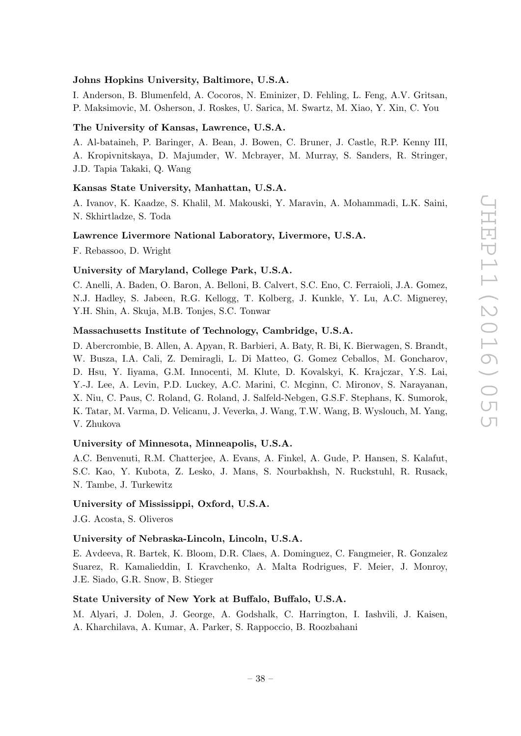#### Johns Hopkins University, Baltimore, U.S.A.

I. Anderson, B. Blumenfeld, A. Cocoros, N. Eminizer, D. Fehling, L. Feng, A.V. Gritsan, P. Maksimovic, M. Osherson, J. Roskes, U. Sarica, M. Swartz, M. Xiao, Y. Xin, C. You

#### The University of Kansas, Lawrence, U.S.A.

A. Al-bataineh, P. Baringer, A. Bean, J. Bowen, C. Bruner, J. Castle, R.P. Kenny III, A. Kropivnitskaya, D. Majumder, W. Mcbrayer, M. Murray, S. Sanders, R. Stringer, J.D. Tapia Takaki, Q. Wang

#### Kansas State University, Manhattan, U.S.A.

A. Ivanov, K. Kaadze, S. Khalil, M. Makouski, Y. Maravin, A. Mohammadi, L.K. Saini, N. Skhirtladze, S. Toda

#### Lawrence Livermore National Laboratory, Livermore, U.S.A.

F. Rebassoo, D. Wright

#### University of Maryland, College Park, U.S.A.

C. Anelli, A. Baden, O. Baron, A. Belloni, B. Calvert, S.C. Eno, C. Ferraioli, J.A. Gomez, N.J. Hadley, S. Jabeen, R.G. Kellogg, T. Kolberg, J. Kunkle, Y. Lu, A.C. Mignerey, Y.H. Shin, A. Skuja, M.B. Tonjes, S.C. Tonwar

### Massachusetts Institute of Technology, Cambridge, U.S.A.

D. Abercrombie, B. Allen, A. Apyan, R. Barbieri, A. Baty, R. Bi, K. Bierwagen, S. Brandt, W. Busza, I.A. Cali, Z. Demiragli, L. Di Matteo, G. Gomez Ceballos, M. Goncharov, D. Hsu, Y. Iiyama, G.M. Innocenti, M. Klute, D. Kovalskyi, K. Krajczar, Y.S. Lai, Y.-J. Lee, A. Levin, P.D. Luckey, A.C. Marini, C. Mcginn, C. Mironov, S. Narayanan, X. Niu, C. Paus, C. Roland, G. Roland, J. Salfeld-Nebgen, G.S.F. Stephans, K. Sumorok, K. Tatar, M. Varma, D. Velicanu, J. Veverka, J. Wang, T.W. Wang, B. Wyslouch, M. Yang, V. Zhukova

### University of Minnesota, Minneapolis, U.S.A.

A.C. Benvenuti, R.M. Chatterjee, A. Evans, A. Finkel, A. Gude, P. Hansen, S. Kalafut, S.C. Kao, Y. Kubota, Z. Lesko, J. Mans, S. Nourbakhsh, N. Ruckstuhl, R. Rusack, N. Tambe, J. Turkewitz

#### University of Mississippi, Oxford, U.S.A.

J.G. Acosta, S. Oliveros

### University of Nebraska-Lincoln, Lincoln, U.S.A.

E. Avdeeva, R. Bartek, K. Bloom, D.R. Claes, A. Dominguez, C. Fangmeier, R. Gonzalez Suarez, R. Kamalieddin, I. Kravchenko, A. Malta Rodrigues, F. Meier, J. Monroy, J.E. Siado, G.R. Snow, B. Stieger

### State University of New York at Buffalo, Buffalo, U.S.A.

M. Alyari, J. Dolen, J. George, A. Godshalk, C. Harrington, I. Iashvili, J. Kaisen, A. Kharchilava, A. Kumar, A. Parker, S. Rappoccio, B. Roozbahani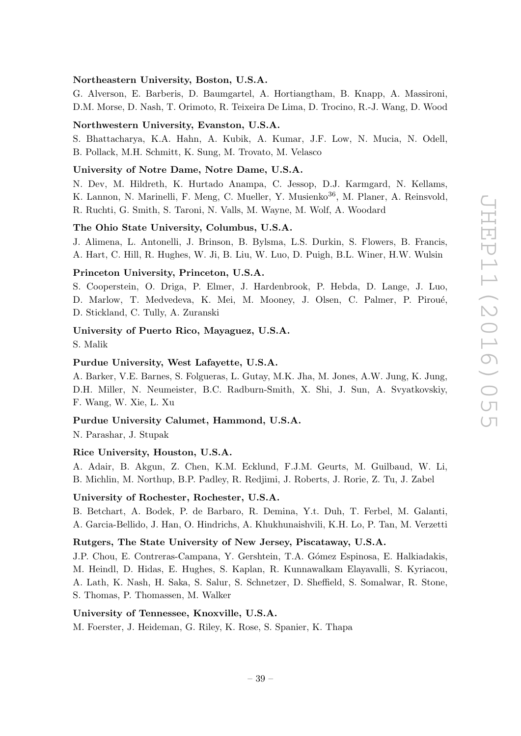#### Northeastern University, Boston, U.S.A.

G. Alverson, E. Barberis, D. Baumgartel, A. Hortiangtham, B. Knapp, A. Massironi, D.M. Morse, D. Nash, T. Orimoto, R. Teixeira De Lima, D. Trocino, R.-J. Wang, D. Wood

#### Northwestern University, Evanston, U.S.A.

S. Bhattacharya, K.A. Hahn, A. Kubik, A. Kumar, J.F. Low, N. Mucia, N. Odell, B. Pollack, M.H. Schmitt, K. Sung, M. Trovato, M. Velasco

### University of Notre Dame, Notre Dame, U.S.A.

N. Dev, M. Hildreth, K. Hurtado Anampa, C. Jessop, D.J. Karmgard, N. Kellams, K. Lannon, N. Marinelli, F. Meng, C. Mueller, Y. Musienko<sup>36</sup>, M. Planer, A. Reinsvold, R. Ruchti, G. Smith, S. Taroni, N. Valls, M. Wayne, M. Wolf, A. Woodard

#### The Ohio State University, Columbus, U.S.A.

J. Alimena, L. Antonelli, J. Brinson, B. Bylsma, L.S. Durkin, S. Flowers, B. Francis, A. Hart, C. Hill, R. Hughes, W. Ji, B. Liu, W. Luo, D. Puigh, B.L. Winer, H.W. Wulsin

#### Princeton University, Princeton, U.S.A.

S. Cooperstein, O. Driga, P. Elmer, J. Hardenbrook, P. Hebda, D. Lange, J. Luo, D. Marlow, T. Medvedeva, K. Mei, M. Mooney, J. Olsen, C. Palmer, P. Piroué, D. Stickland, C. Tully, A. Zuranski

#### University of Puerto Rico, Mayaguez, U.S.A.

S. Malik

#### Purdue University, West Lafayette, U.S.A.

A. Barker, V.E. Barnes, S. Folgueras, L. Gutay, M.K. Jha, M. Jones, A.W. Jung, K. Jung, D.H. Miller, N. Neumeister, B.C. Radburn-Smith, X. Shi, J. Sun, A. Svyatkovskiy, F. Wang, W. Xie, L. Xu

### Purdue University Calumet, Hammond, U.S.A.

N. Parashar, J. Stupak

#### Rice University, Houston, U.S.A.

A. Adair, B. Akgun, Z. Chen, K.M. Ecklund, F.J.M. Geurts, M. Guilbaud, W. Li, B. Michlin, M. Northup, B.P. Padley, R. Redjimi, J. Roberts, J. Rorie, Z. Tu, J. Zabel

#### University of Rochester, Rochester, U.S.A.

B. Betchart, A. Bodek, P. de Barbaro, R. Demina, Y.t. Duh, T. Ferbel, M. Galanti, A. Garcia-Bellido, J. Han, O. Hindrichs, A. Khukhunaishvili, K.H. Lo, P. Tan, M. Verzetti

#### Rutgers, The State University of New Jersey, Piscataway, U.S.A.

J.P. Chou, E. Contreras-Campana, Y. Gershtein, T.A. Gómez Espinosa, E. Halkiadakis, M. Heindl, D. Hidas, E. Hughes, S. Kaplan, R. Kunnawalkam Elayavalli, S. Kyriacou, A. Lath, K. Nash, H. Saka, S. Salur, S. Schnetzer, D. Sheffield, S. Somalwar, R. Stone, S. Thomas, P. Thomassen, M. Walker

#### University of Tennessee, Knoxville, U.S.A.

M. Foerster, J. Heideman, G. Riley, K. Rose, S. Spanier, K. Thapa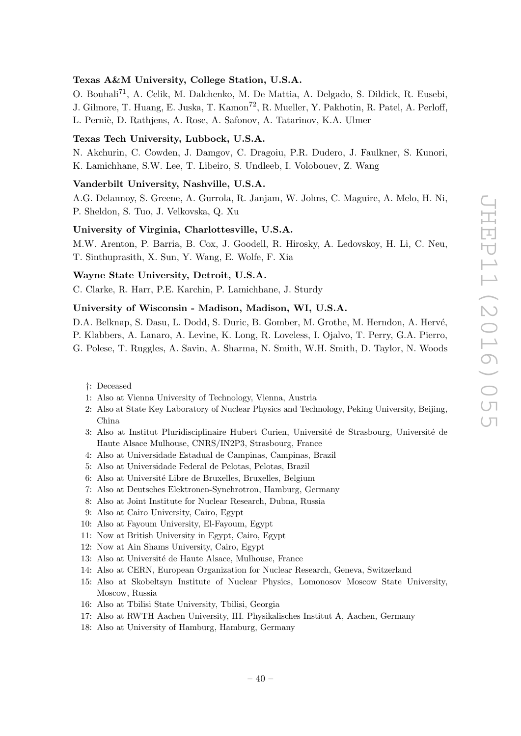## Texas A&M University, College Station, U.S.A.

O. Bouhali71, A. Celik, M. Dalchenko, M. De Mattia, A. Delgado, S. Dildick, R. Eusebi, J. Gilmore, T. Huang, E. Juska, T. Kamon<sup>72</sup>, R. Mueller, Y. Pakhotin, R. Patel, A. Perloff, L. Perniè, D. Rathjens, A. Rose, A. Safonov, A. Tatarinov, K.A. Ulmer

#### Texas Tech University, Lubbock, U.S.A.

N. Akchurin, C. Cowden, J. Damgov, C. Dragoiu, P.R. Dudero, J. Faulkner, S. Kunori, K. Lamichhane, S.W. Lee, T. Libeiro, S. Undleeb, I. Volobouev, Z. Wang

#### Vanderbilt University, Nashville, U.S.A.

A.G. Delannoy, S. Greene, A. Gurrola, R. Janjam, W. Johns, C. Maguire, A. Melo, H. Ni, P. Sheldon, S. Tuo, J. Velkovska, Q. Xu

#### University of Virginia, Charlottesville, U.S.A.

M.W. Arenton, P. Barria, B. Cox, J. Goodell, R. Hirosky, A. Ledovskoy, H. Li, C. Neu, T. Sinthuprasith, X. Sun, Y. Wang, E. Wolfe, F. Xia

#### Wayne State University, Detroit, U.S.A.

C. Clarke, R. Harr, P.E. Karchin, P. Lamichhane, J. Sturdy

### University of Wisconsin - Madison, Madison, WI, U.S.A.

D.A. Belknap, S. Dasu, L. Dodd, S. Duric, B. Gomber, M. Grothe, M. Herndon, A. Hervé, P. Klabbers, A. Lanaro, A. Levine, K. Long, R. Loveless, I. Ojalvo, T. Perry, G.A. Pierro, G. Polese, T. Ruggles, A. Savin, A. Sharma, N. Smith, W.H. Smith, D. Taylor, N. Woods

- †: Deceased
- 1: Also at Vienna University of Technology, Vienna, Austria
- 2: Also at State Key Laboratory of Nuclear Physics and Technology, Peking University, Beijing, China
- 3: Also at Institut Pluridisciplinaire Hubert Curien, Université de Strasbourg, Université de Haute Alsace Mulhouse, CNRS/IN2P3, Strasbourg, France
- 4: Also at Universidade Estadual de Campinas, Campinas, Brazil
- 5: Also at Universidade Federal de Pelotas, Pelotas, Brazil
- 6: Also at Université Libre de Bruxelles, Bruxelles, Belgium
- 7: Also at Deutsches Elektronen-Synchrotron, Hamburg, Germany
- 8: Also at Joint Institute for Nuclear Research, Dubna, Russia
- 9: Also at Cairo University, Cairo, Egypt
- 10: Also at Fayoum University, El-Fayoum, Egypt
- 11: Now at British University in Egypt, Cairo, Egypt
- 12: Now at Ain Shams University, Cairo, Egypt
- 13: Also at Université de Haute Alsace, Mulhouse, France
- 14: Also at CERN, European Organization for Nuclear Research, Geneva, Switzerland
- 15: Also at Skobeltsyn Institute of Nuclear Physics, Lomonosov Moscow State University, Moscow, Russia
- 16: Also at Tbilisi State University, Tbilisi, Georgia
- 17: Also at RWTH Aachen University, III. Physikalisches Institut A, Aachen, Germany
- 18: Also at University of Hamburg, Hamburg, Germany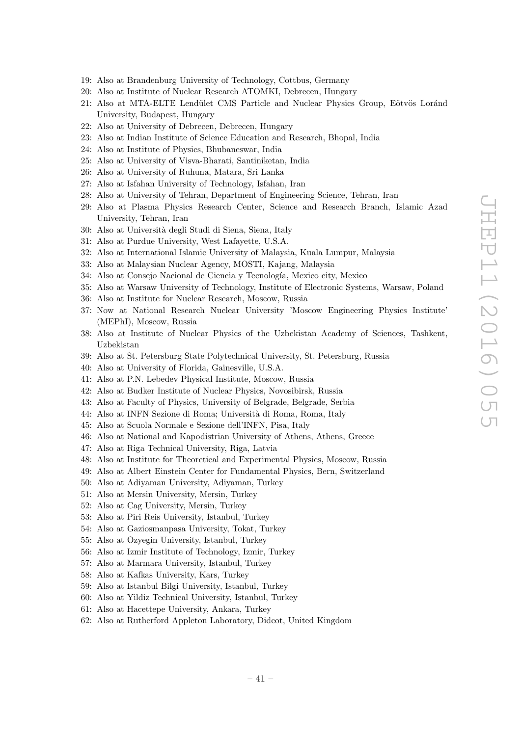- 19: Also at Brandenburg University of Technology, Cottbus, Germany
- 20: Also at Institute of Nuclear Research ATOMKI, Debrecen, Hungary
- 21: Also at MTA-ELTE Lendület CMS Particle and Nuclear Physics Group, Eötvös Loránd University, Budapest, Hungary
- 22: Also at University of Debrecen, Debrecen, Hungary
- 23: Also at Indian Institute of Science Education and Research, Bhopal, India
- 24: Also at Institute of Physics, Bhubaneswar, India
- 25: Also at University of Visva-Bharati, Santiniketan, India
- 26: Also at University of Ruhuna, Matara, Sri Lanka
- 27: Also at Isfahan University of Technology, Isfahan, Iran
- 28: Also at University of Tehran, Department of Engineering Science, Tehran, Iran
- 29: Also at Plasma Physics Research Center, Science and Research Branch, Islamic Azad University, Tehran, Iran
- 30: Also at Universit`a degli Studi di Siena, Siena, Italy
- 31: Also at Purdue University, West Lafayette, U.S.A.
- 32: Also at International Islamic University of Malaysia, Kuala Lumpur, Malaysia
- 33: Also at Malaysian Nuclear Agency, MOSTI, Kajang, Malaysia
- 34: Also at Consejo Nacional de Ciencia y Tecnología, Mexico city, Mexico
- 35: Also at Warsaw University of Technology, Institute of Electronic Systems, Warsaw, Poland
- 36: Also at Institute for Nuclear Research, Moscow, Russia
- 37: Now at National Research Nuclear University 'Moscow Engineering Physics Institute' (MEPhI), Moscow, Russia
- 38: Also at Institute of Nuclear Physics of the Uzbekistan Academy of Sciences, Tashkent, Uzbekistan
- 39: Also at St. Petersburg State Polytechnical University, St. Petersburg, Russia
- 40: Also at University of Florida, Gainesville, U.S.A.
- 41: Also at P.N. Lebedev Physical Institute, Moscow, Russia
- 42: Also at Budker Institute of Nuclear Physics, Novosibirsk, Russia
- 43: Also at Faculty of Physics, University of Belgrade, Belgrade, Serbia
- 44: Also at INFN Sezione di Roma; Università di Roma, Roma, Italy
- 45: Also at Scuola Normale e Sezione dell'INFN, Pisa, Italy
- 46: Also at National and Kapodistrian University of Athens, Athens, Greece
- 47: Also at Riga Technical University, Riga, Latvia
- 48: Also at Institute for Theoretical and Experimental Physics, Moscow, Russia
- 49: Also at Albert Einstein Center for Fundamental Physics, Bern, Switzerland
- 50: Also at Adiyaman University, Adiyaman, Turkey
- 51: Also at Mersin University, Mersin, Turkey
- 52: Also at Cag University, Mersin, Turkey
- 53: Also at Piri Reis University, Istanbul, Turkey
- 54: Also at Gaziosmanpasa University, Tokat, Turkey
- 55: Also at Ozyegin University, Istanbul, Turkey
- 56: Also at Izmir Institute of Technology, Izmir, Turkey
- 57: Also at Marmara University, Istanbul, Turkey
- 58: Also at Kafkas University, Kars, Turkey
- 59: Also at Istanbul Bilgi University, Istanbul, Turkey
- 60: Also at Yildiz Technical University, Istanbul, Turkey
- 61: Also at Hacettepe University, Ankara, Turkey
- 62: Also at Rutherford Appleton Laboratory, Didcot, United Kingdom